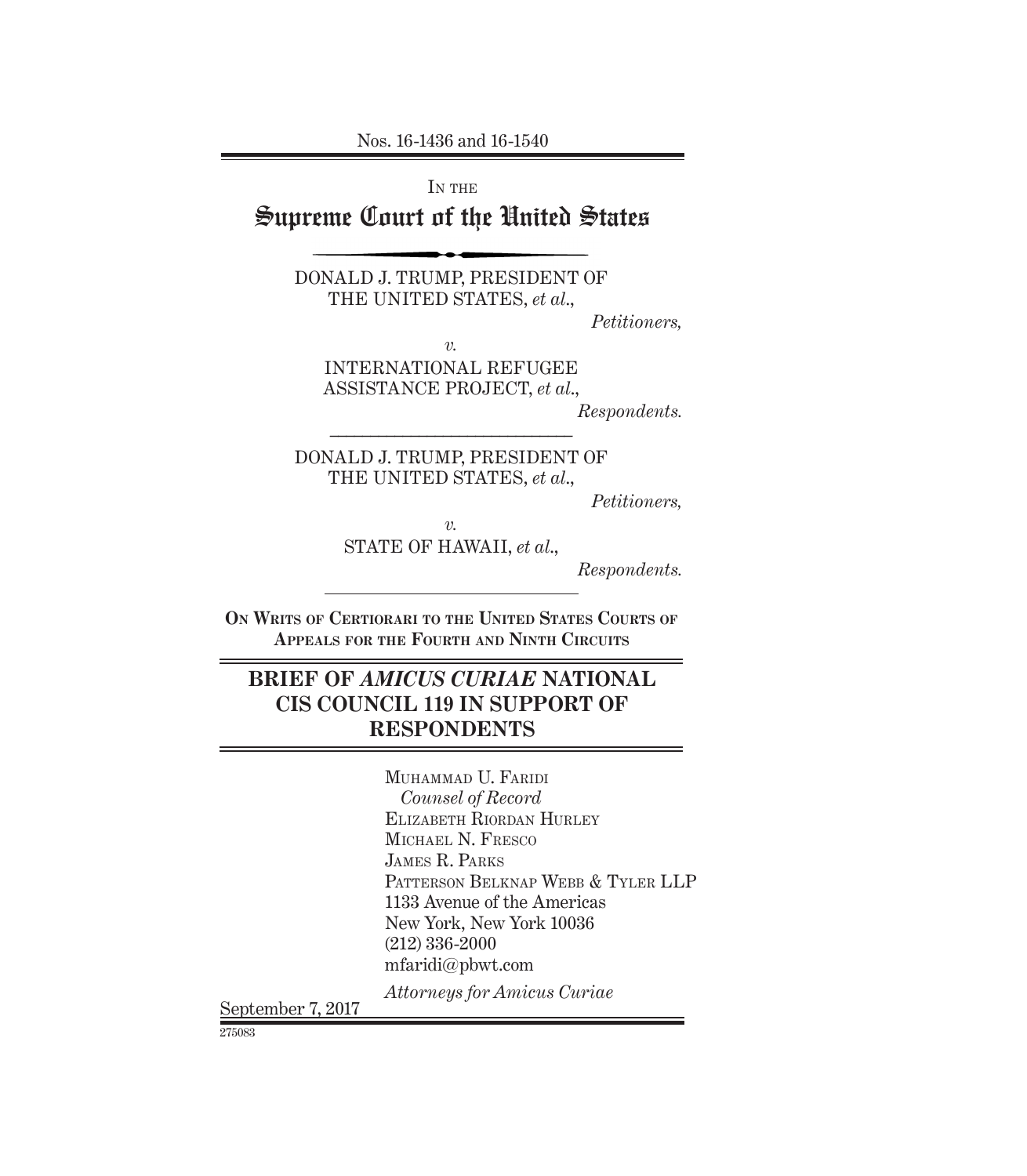Nos. 16-1436 and 16-1540

IN THE

# Supreme Court of the United States

DONALD J. TRUMP, PRESIDENT OF THE UNITED STATES, *et al*.,

*Petitioners,*

*v.*

INTERNATIONAL REFUGEE ASSISTANCE PROJECT, *et al*.,

*Respondents.*

DONALD J. TRUMP, PRESIDENT OF THE UNITED STATES, *et al*.,

*––––––––––––––––––––––––––––––*

*Petitioners,*

*v.*

STATE OF HAWAII, *et al*.,

*Respondents.*

**On Writs of Certiorari to the United States Courts of Appeals for the Fourth and Ninth Circuits**

## **BRIEF OF** *AMICUS CURIAE* **NATIONAL CIS COUNCIL 119 IN SUPPORT OF RESPONDENTS**

Muhammad U. Faridi *Counsel of Record* Elizabeth Riordan Hurley Michael N. Fresco James R. Parks PATTERSON BELKNAP WEBB & TYLER LLP 1133 Avenue of the Americas New York, New York 10036 (212) 336-2000 mfaridi@pbwt.com

*Attorneys for Amicus Curiae* September 7, 2017

275083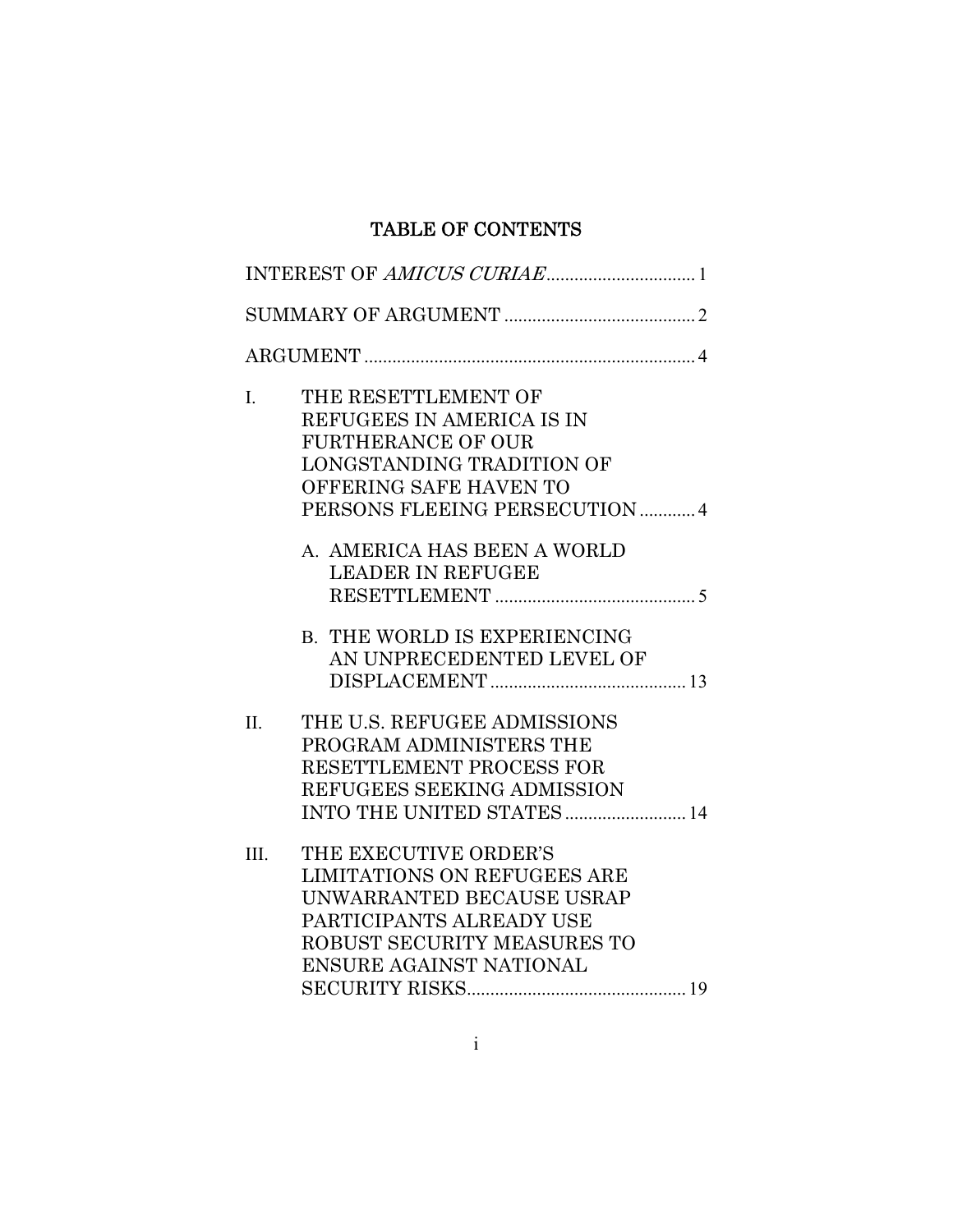## TABLE OF CONTENTS

| I.      | THE RESETTLEMENT OF<br>REFUGEES IN AMERICA IS IN<br><b>FURTHERANCE OF OUR</b><br>LONGSTANDING TRADITION OF<br>OFFERING SAFE HAVEN TO<br>PERSONS FLEEING PERSECUTION 4                 |
|---------|---------------------------------------------------------------------------------------------------------------------------------------------------------------------------------------|
|         | A. AMERICA HAS BEEN A WORLD<br><b>LEADER IN REFUGEE</b>                                                                                                                               |
|         | <b>B. THE WORLD IS EXPERIENCING</b><br>AN UNPRECEDENTED LEVEL OF                                                                                                                      |
| $\Pi$ . | THE U.S. REFUGEE ADMISSIONS<br>PROGRAM ADMINISTERS THE<br>RESETTLEMENT PROCESS FOR<br>REFUGEES SEEKING ADMISSION<br>INTO THE UNITED STATES  14                                        |
| III.    | THE EXECUTIVE ORDER'S<br><b>LIMITATIONS ON REFUGEES ARE</b><br>UNWARRANTED BECAUSE USRAP<br>PARTICIPANTS ALREADY USE<br>ROBUST SECURITY MEASURES TO<br><b>ENSURE AGAINST NATIONAL</b> |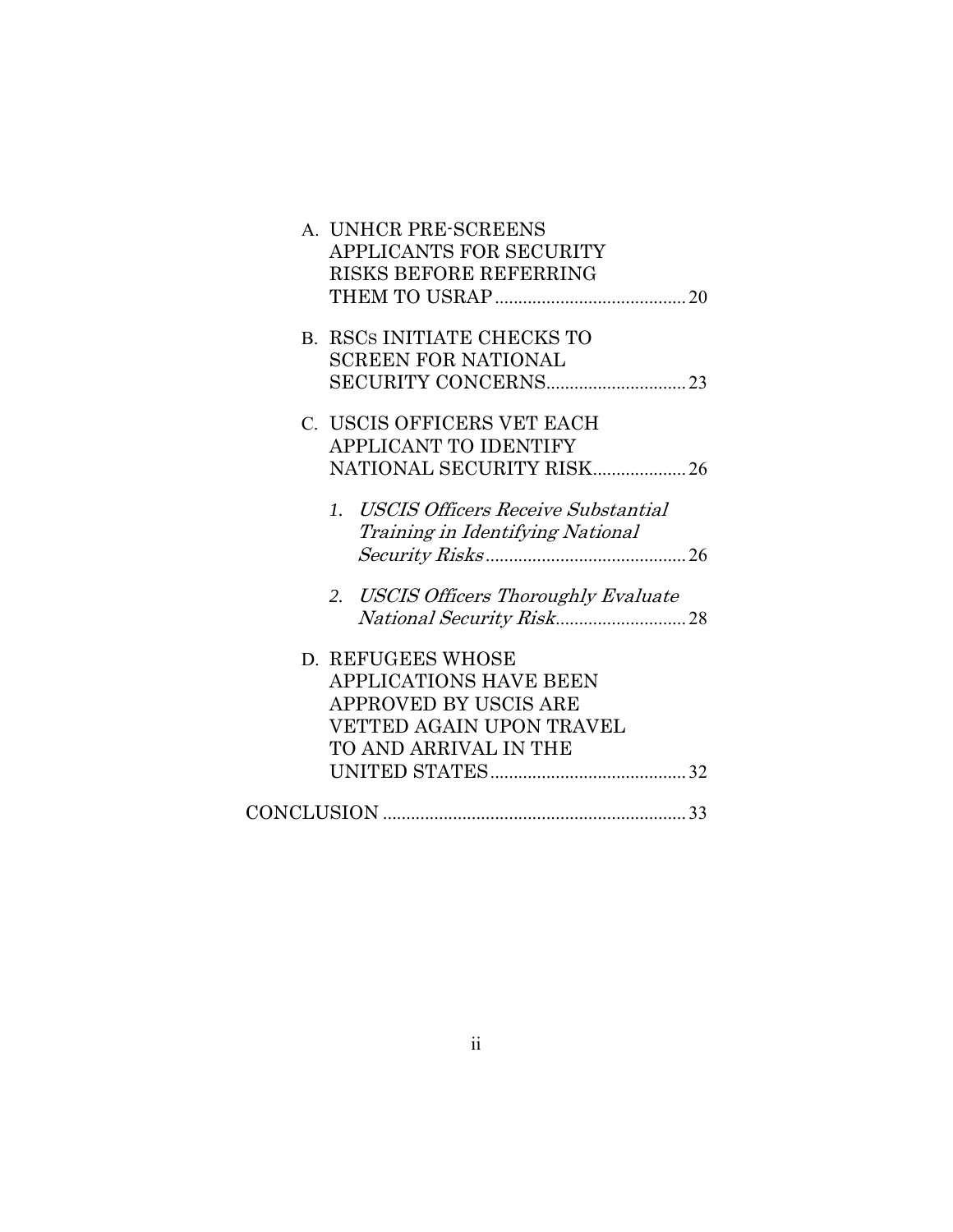| A. UNHCR PRE-SCREENS                  |  |
|---------------------------------------|--|
| APPLICANTS FOR SECURITY               |  |
| <b>RISKS BEFORE REFERRING</b>         |  |
|                                       |  |
| <b>B. RSCS INITIATE CHECKS TO</b>     |  |
| <b>SCREEN FOR NATIONAL</b>            |  |
|                                       |  |
| C. USCIS OFFICERS VET EACH            |  |
| <b>APPLICANT TO IDENTIFY</b>          |  |
| NATIONAL SECURITY RISK 26             |  |
| 1. USCIS Officers Receive Substantial |  |
| Training in Identifying National      |  |
|                                       |  |
| 2. USCIS Officers Thoroughly Evaluate |  |
|                                       |  |
| D. REFUGEES WHOSE                     |  |
| <b>APPLICATIONS HAVE BEEN</b>         |  |
| APPROVED BY USCIS ARE                 |  |
| VETTED AGAIN UPON TRAVEL              |  |
| TO AND ARRIVAL IN THE                 |  |
|                                       |  |
|                                       |  |
|                                       |  |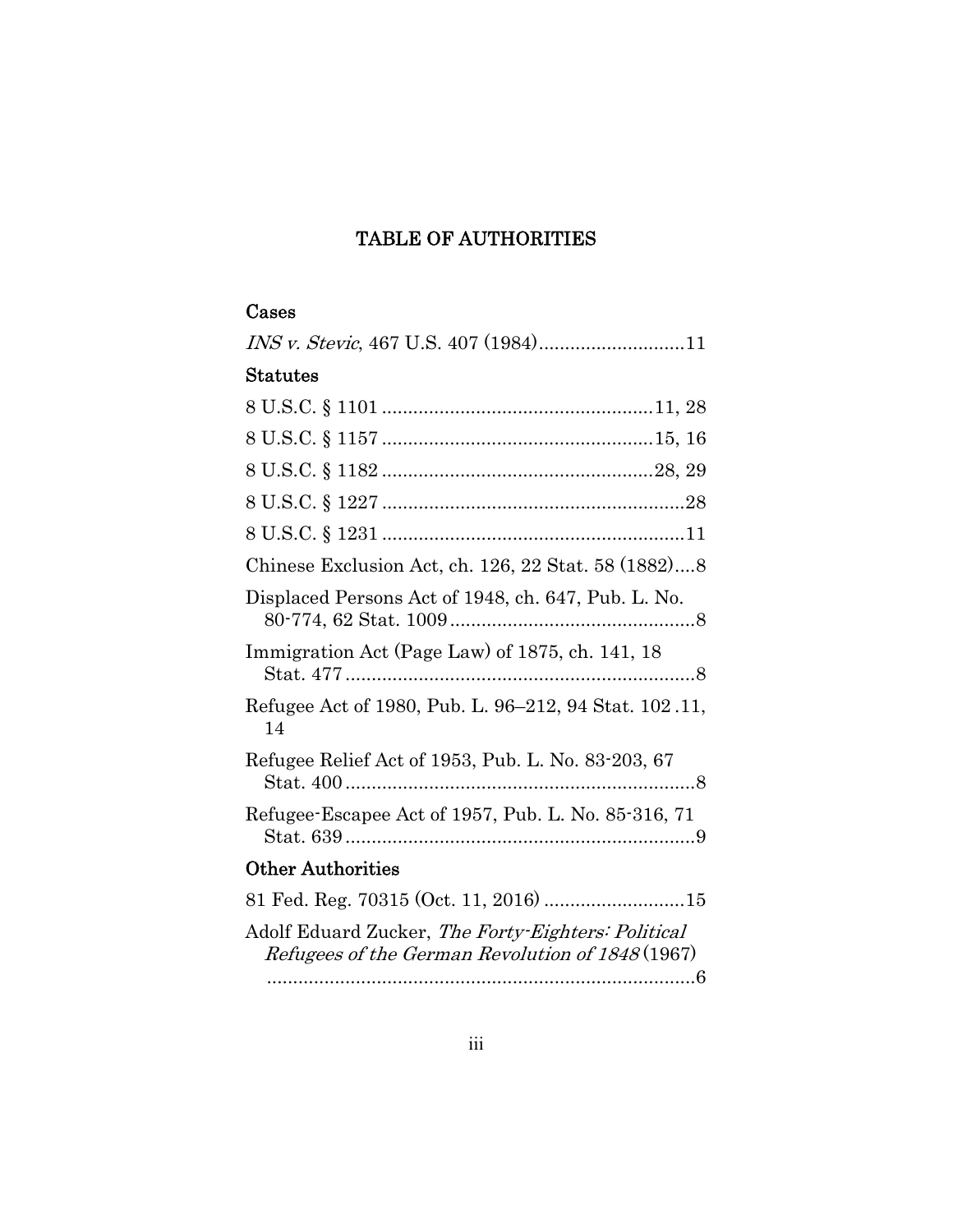## TABLE OF AUTHORITIES

## Cases

| $\operatorname{Status}$                                                                                |
|--------------------------------------------------------------------------------------------------------|
|                                                                                                        |
|                                                                                                        |
|                                                                                                        |
|                                                                                                        |
|                                                                                                        |
| Chinese Exclusion Act, ch. 126, 22 Stat. 58 (1882)8                                                    |
| Displaced Persons Act of 1948, ch. 647, Pub. L. No.                                                    |
| Immigration Act (Page Law) of 1875, ch. 141, 18                                                        |
| Refugee Act of 1980, Pub. L. 96-212, 94 Stat. 102.11,<br>14                                            |
| Refugee Relief Act of 1953, Pub. L. No. 83-203, 67                                                     |
| Refugee-Escapee Act of 1957, Pub. L. No. 85-316, 71                                                    |
| <b>Other Authorities</b>                                                                               |
| 81 Fed. Reg. 70315 (Oct. 11, 2016)  15                                                                 |
| Adolf Eduard Zucker, The Forty-Eighters: Political<br>Refugees of the German Revolution of 1848 (1967) |

.................................................................................. 6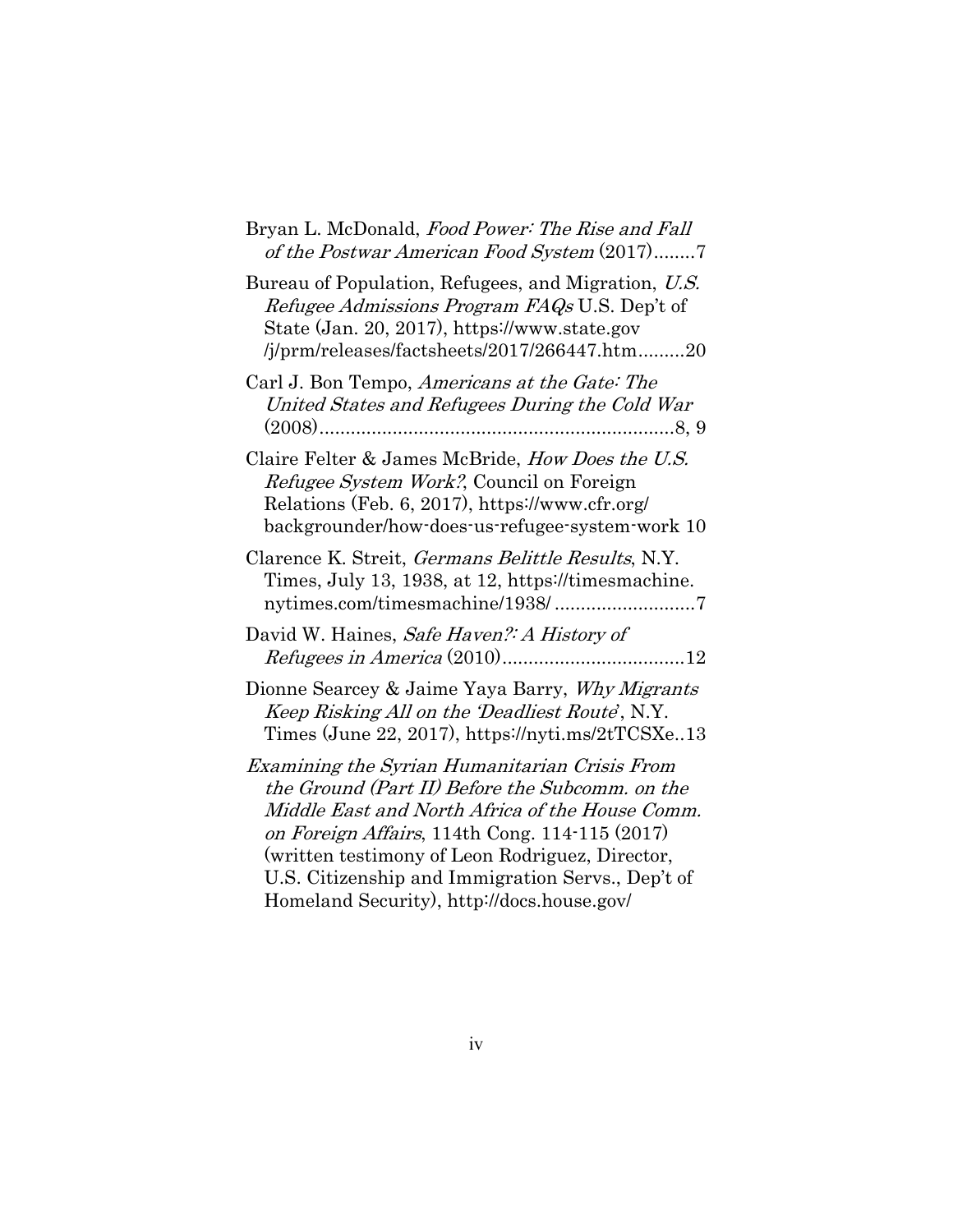| Bryan L. McDonald, Food Power: The Rise and Fall<br>of the Postwar American Food System (2017)7                                                                                                                                                                                                               |
|---------------------------------------------------------------------------------------------------------------------------------------------------------------------------------------------------------------------------------------------------------------------------------------------------------------|
| Bureau of Population, Refugees, and Migration, U.S.<br>Refugee Admissions Program FAQs U.S. Dep't of<br>State (Jan. 20, 2017), https://www.state.gov<br>/j/prm/releases/factsheets/2017/266447.htm20                                                                                                          |
| Carl J. Bon Tempo, Americans at the Gate: The<br>United States and Refugees During the Cold War                                                                                                                                                                                                               |
| Claire Felter & James McBride, How Does the U.S.<br>Refugee System Work?, Council on Foreign<br>Relations (Feb. 6, 2017), https://www.cfr.org/<br>backgrounder/how-does-us-refugee-system-work 10                                                                                                             |
| Clarence K. Streit, <i>Germans Belittle Results</i> , N.Y.<br>Times, July 13, 1938, at 12, https://timesmachine.                                                                                                                                                                                              |
| David W. Haines, Safe Haven? A History of                                                                                                                                                                                                                                                                     |
| Dionne Searcey & Jaime Yaya Barry, Why Migrants<br>Keep Risking All on the 'Deadliest Route', N.Y.<br>Times (June 22, 2017), https://nyti.ms/2tTCSXe13                                                                                                                                                        |
| Examining the Syrian Humanitarian Crisis From<br>the Ground (Part II) Before the Subcomm. on the<br>Middle East and North Africa of the House Comm.<br>on Foreign Affairs, 114th Cong. 114-115 (2017)<br>(written testimony of Leon Rodriguez, Director,<br>U.S. Citizenship and Immigration Servs., Dep't of |

Homeland Security), http://docs.house.gov/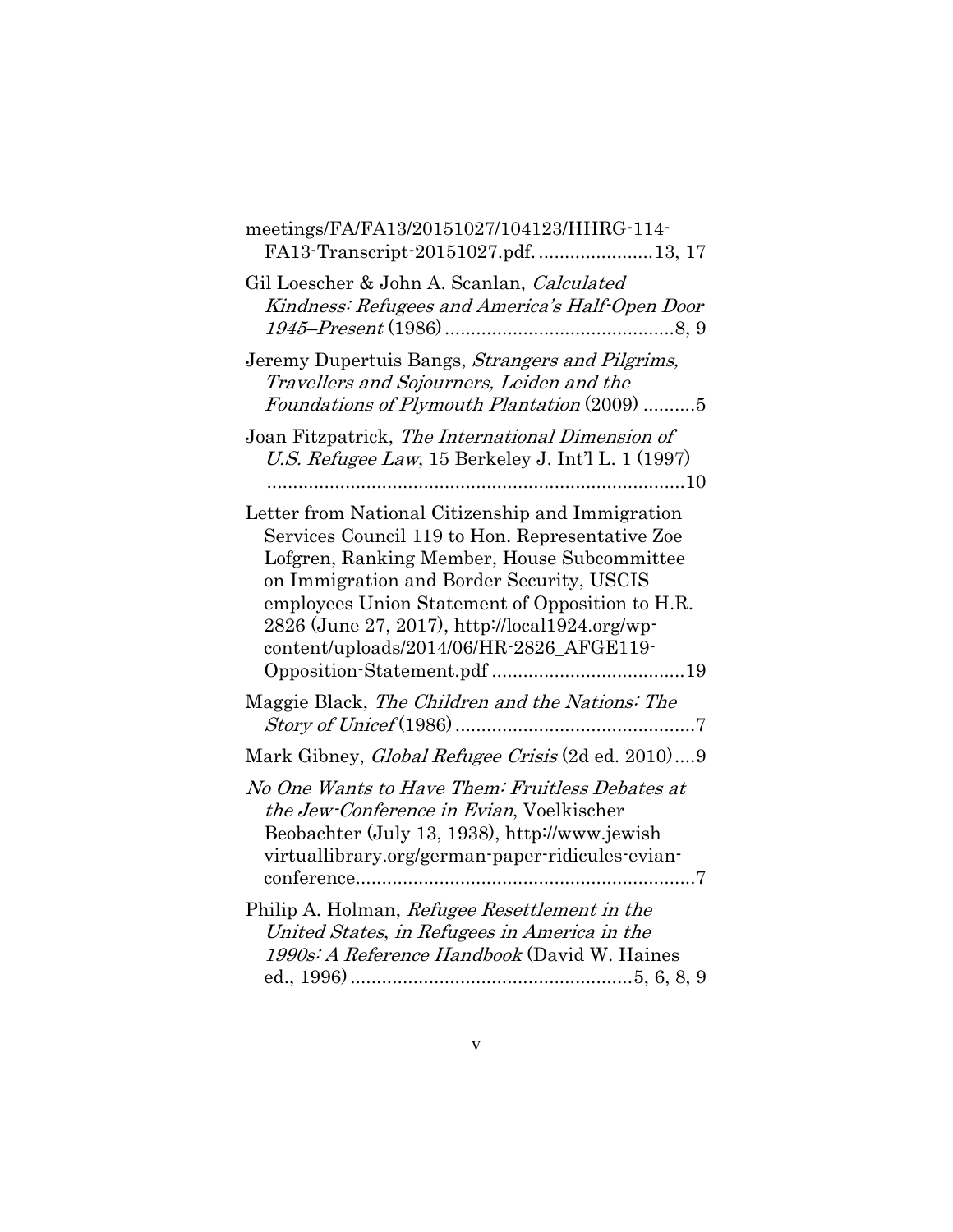| meetings/FA/FA13/20151027/104123/HHRG-114-<br>FA13-Transcript-20151027.pdf. 13, 17                                                                                                                                                                                                                                                               |
|--------------------------------------------------------------------------------------------------------------------------------------------------------------------------------------------------------------------------------------------------------------------------------------------------------------------------------------------------|
| Gil Loescher & John A. Scanlan, Calculated<br>Kindness: Refugees and America's Half-Open Door                                                                                                                                                                                                                                                    |
| Jeremy Dupertuis Bangs, Strangers and Pilgrims,<br>Travellers and Sojourners, Leiden and the<br>Foundations of Plymouth Plantation (2009) 5                                                                                                                                                                                                      |
| Joan Fitzpatrick, The International Dimension of<br>U.S. Refugee Law, 15 Berkeley J. Int'l L. 1 (1997)                                                                                                                                                                                                                                           |
| Letter from National Citizenship and Immigration<br>Services Council 119 to Hon. Representative Zoe<br>Lofgren, Ranking Member, House Subcommittee<br>on Immigration and Border Security, USCIS<br>employees Union Statement of Opposition to H.R.<br>2826 (June 27, 2017), http://local1924.org/wp-<br>content/uploads/2014/06/HR-2826_AFGE119- |
| Maggie Black, The Children and the Nations: The                                                                                                                                                                                                                                                                                                  |
| Mark Gibney, Global Refugee Crisis (2d ed. 2010)9                                                                                                                                                                                                                                                                                                |
| No One Wants to Have Them: Fruitless Debates at<br>the Jew-Conference in Evian, Voelkischer<br>Beobachter (July 13, 1938), http://www.jewish<br>virtuallibrary.org/german-paper-ridicules-evian-                                                                                                                                                 |
| Philip A. Holman, Refugee Resettlement in the<br>United States, in Refugees in America in the<br>1990s: A Reference Handbook (David W. Haines                                                                                                                                                                                                    |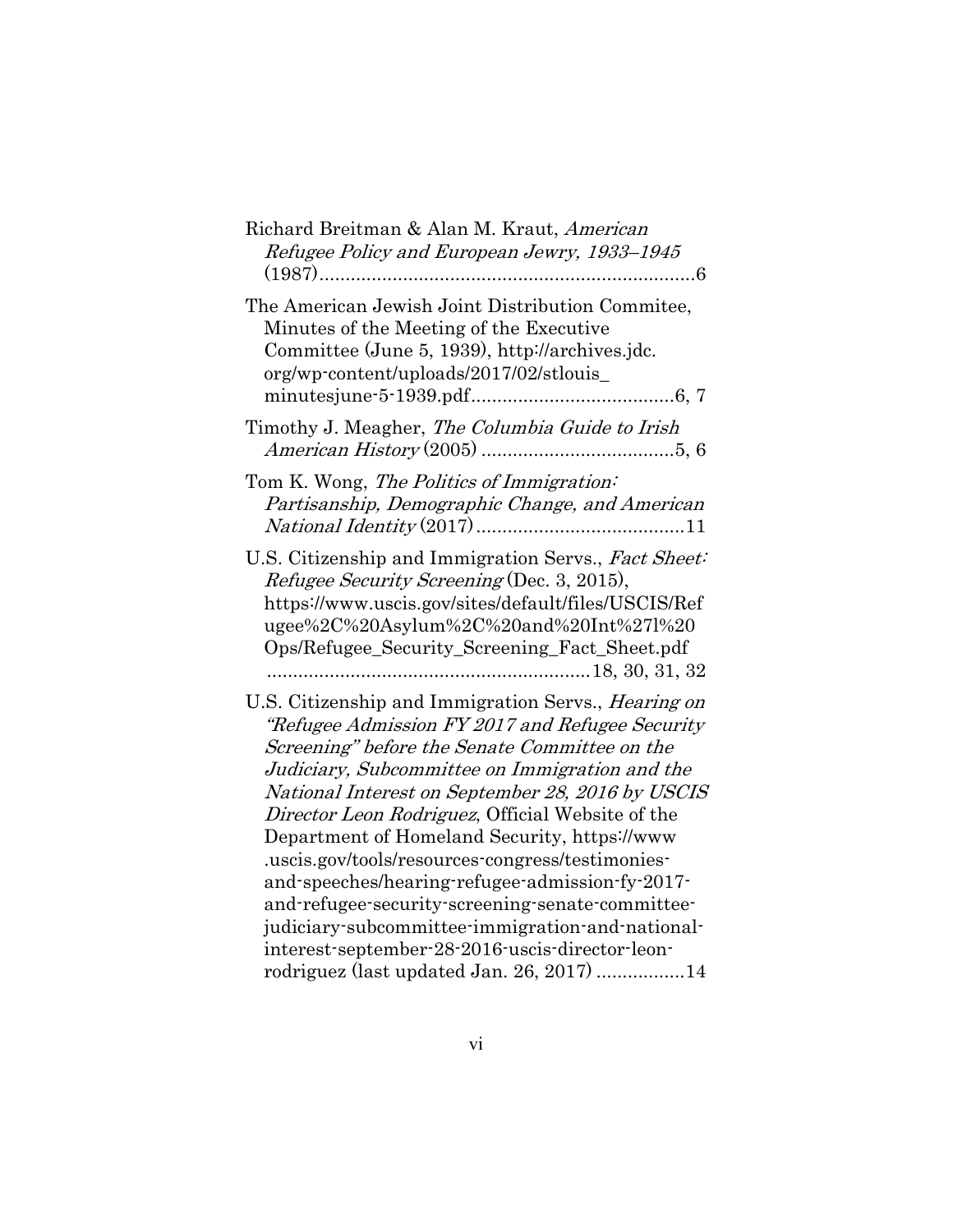| Richard Breitman & Alan M. Kraut, American<br>Refugee Policy and European Jewry, 1933-1945<br>6                                                                                                                                                                                                                                                                                                                                                                                                                                                                                                                                                                                   |
|-----------------------------------------------------------------------------------------------------------------------------------------------------------------------------------------------------------------------------------------------------------------------------------------------------------------------------------------------------------------------------------------------------------------------------------------------------------------------------------------------------------------------------------------------------------------------------------------------------------------------------------------------------------------------------------|
| The American Jewish Joint Distribution Commitee,<br>Minutes of the Meeting of the Executive<br>Committee (June 5, 1939), http://archives.jdc.<br>org/wp-content/uploads/2017/02/stlouis_                                                                                                                                                                                                                                                                                                                                                                                                                                                                                          |
| Timothy J. Meagher, The Columbia Guide to Irish                                                                                                                                                                                                                                                                                                                                                                                                                                                                                                                                                                                                                                   |
| Tom K. Wong, The Politics of Immigration:<br>Partisanship, Demographic Change, and American                                                                                                                                                                                                                                                                                                                                                                                                                                                                                                                                                                                       |
| U.S. Citizenship and Immigration Servs., Fact Sheet:<br>Refugee Security Screening (Dec. 3, 2015),<br>https://www.uscis.gov/sites/default/files/USCIS/Ref<br>ugee%2C%20Asylum%2C%20and%20Int%27l%20<br>Ops/Refugee_Security_Screening_Fact_Sheet.pdf                                                                                                                                                                                                                                                                                                                                                                                                                              |
| U.S. Citizenship and Immigration Servs., Hearing on<br>"Refugee Admission FY 2017 and Refugee Security<br>Screening" before the Senate Committee on the<br>Judiciary, Subcommittee on Immigration and the<br>National Interest on September 28, 2016 by USCIS<br>Director Leon Rodriguez, Official Website of the<br>Department of Homeland Security, https://www.<br>.uscis.gov/tools/resources-congress/testimonies-<br>and-speeches/hearing-refugee-admission-fy-2017-<br>and-refugee-security-screening-senate-committee-<br>judiciary-subcommittee-immigration-and-national-<br>interest-september-28-2016-uscis-director-leon-<br>rodriguez (last updated Jan. 26, 2017) 14 |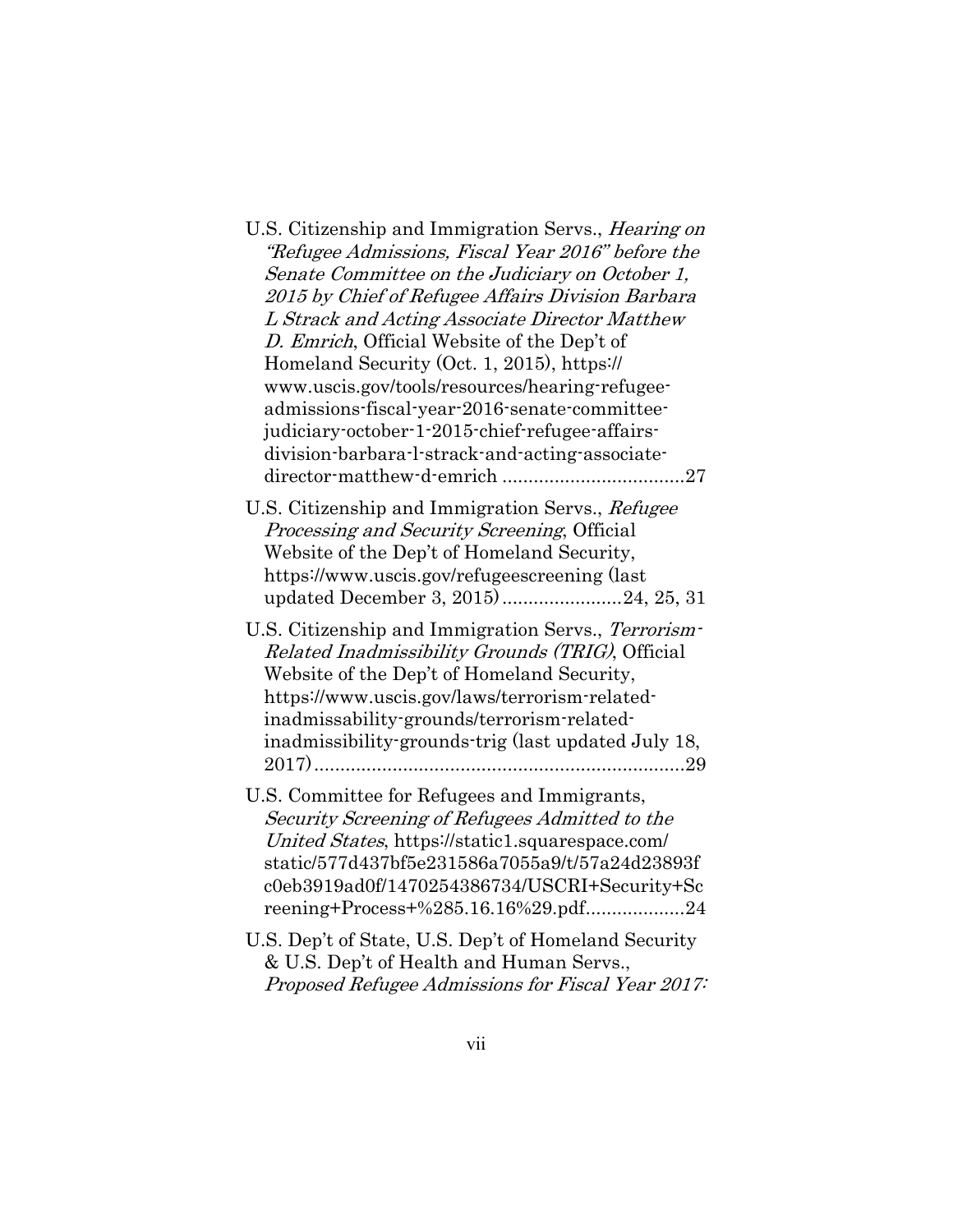| U.S. Citizenship and Immigration Servs., <i>Hearing on</i><br>"Refugee Admissions, Fiscal Year 2016" before the<br>Senate Committee on the Judiciary on October 1,<br>2015 by Chief of Refugee Affairs Division Barbara<br>L Strack and Acting Associate Director Matthew<br>D. Emrich, Official Website of the Dep't of<br>Homeland Security (Oct. 1, 2015), https://<br>www.uscis.gov/tools/resources/hearing-refugee-<br>admissions-fiscal-year-2016-senate-committee-<br>judiciary-october-1-2015-chief-refugee-affairs-<br>division-barbara-l-strack-and-acting-associate- |
|---------------------------------------------------------------------------------------------------------------------------------------------------------------------------------------------------------------------------------------------------------------------------------------------------------------------------------------------------------------------------------------------------------------------------------------------------------------------------------------------------------------------------------------------------------------------------------|
| U.S. Citizenship and Immigration Servs., Refugee<br>Processing and Security Screening, Official<br>Website of the Dep't of Homeland Security,<br>https://www.uscis.gov/refugeescreening (last<br>updated December 3, 2015)24, 25, 31                                                                                                                                                                                                                                                                                                                                            |
| U.S. Citizenship and Immigration Servs., Terrorism-<br>Related Inadmissibility Grounds (TRIG), Official<br>Website of the Dep't of Homeland Security,<br>https://www.uscis.gov/laws/terrorism-related-<br>inadmissability-grounds/terrorism-related-<br>inadmissibility-grounds-trig (last updated July 18,                                                                                                                                                                                                                                                                     |
| U.S. Committee for Refugees and Immigrants,<br>Security Screening of Refugees Admitted to the<br>United States, https://static1.squarespace.com/<br>static/577d437bf5e231586a7055a9/t/57a24d23893f<br>c0eb3919ad0f/1470254386734/USCRI+Security+Sc<br>reening+Process+%285.16.16%29.pdf24                                                                                                                                                                                                                                                                                       |
| U.S. Dep't of State, U.S. Dep't of Homeland Security<br>& U.S. Dep't of Health and Human Servs.,<br>Proposed Refugee Admissions for Fiscal Year 2017:                                                                                                                                                                                                                                                                                                                                                                                                                           |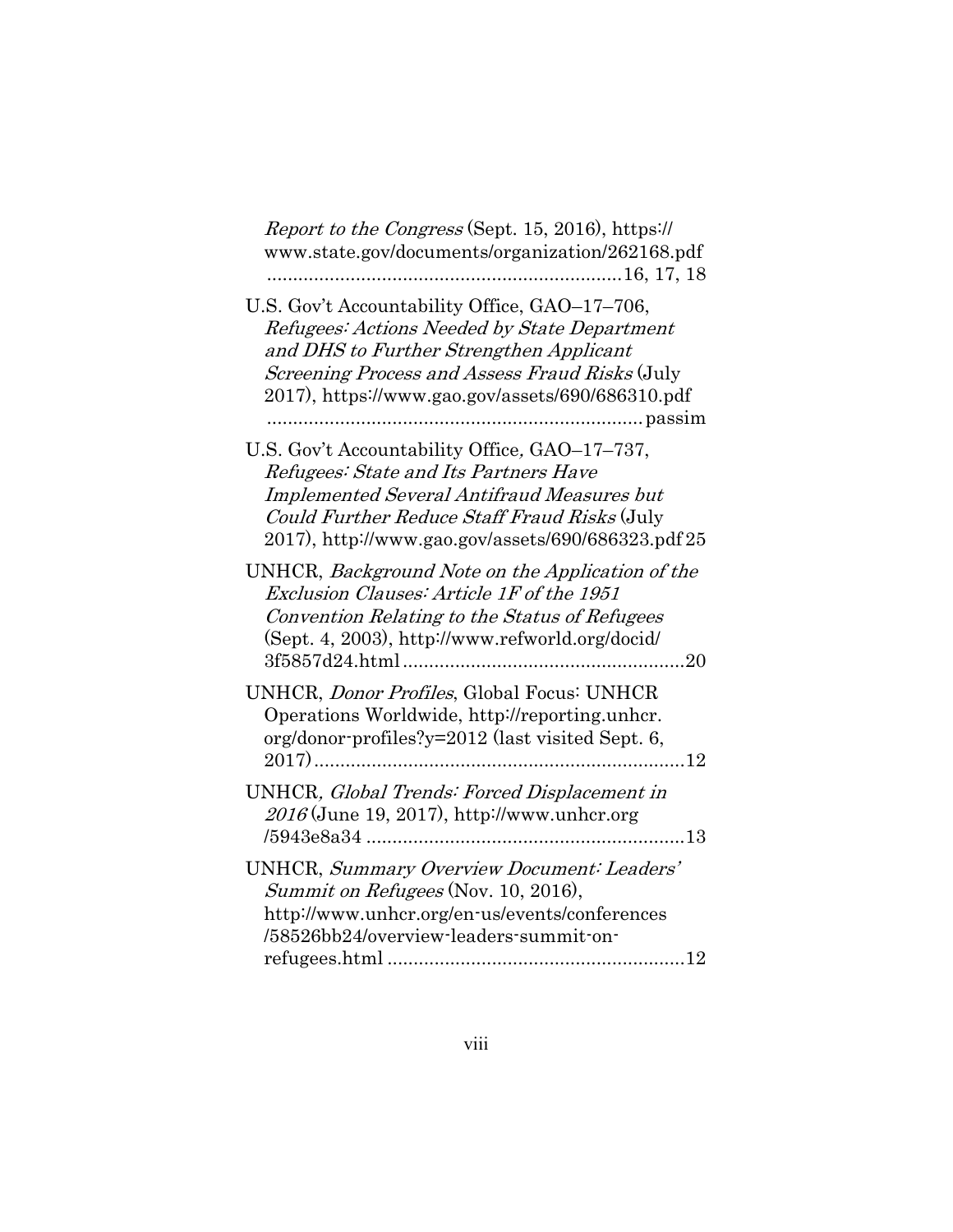| <i>Report to the Congress</i> (Sept. 15, 2016), https://<br>www.state.gov/documents/organization/262168.pdf                                                                                                                                      |
|--------------------------------------------------------------------------------------------------------------------------------------------------------------------------------------------------------------------------------------------------|
| U.S. Gov't Accountability Office, GAO-17-706,<br>Refugees: Actions Needed by State Department<br>and DHS to Further Strengthen Applicant<br>Screening Process and Assess Fraud Risks (July<br>2017), https://www.gao.gov/assets/690/686310.pdf   |
| U.S. Gov't Accountability Office, GAO-17-737,<br>Refugees: State and Its Partners Have<br><b>Implemented Several Antifraud Measures but</b><br>Could Further Reduce Staff Fraud Risks (July<br>2017), http://www.gao.gov/assets/690/686323.pdf25 |
| UNHCR, Background Note on the Application of the<br>Exclusion Clauses: Article 1F of the 1951<br>Convention Relating to the Status of Refugees<br>(Sept. 4, 2003), http://www.refworld.org/docid/<br>3f5857d24.html<br>$\dots 20$                |
| UNHCR, Donor Profiles, Global Focus: UNHCR<br>Operations Worldwide, http://reporting.unhcr.<br>org/donor-profiles?y=2012 (last visited Sept. 6,<br>12                                                                                            |
| UNHCR, Global Trends: Forced Displacement in<br>2016 (June 19, 2017), http://www.unhcr.org                                                                                                                                                       |
| <b>UNHCR</b> , Summary Overview Document: Leaders'<br>Summit on Refugees (Nov. 10, 2016),<br>http://www.unhcr.org/en-us/events/conferences<br>/58526bb24/overview-leaders-summit-on-                                                             |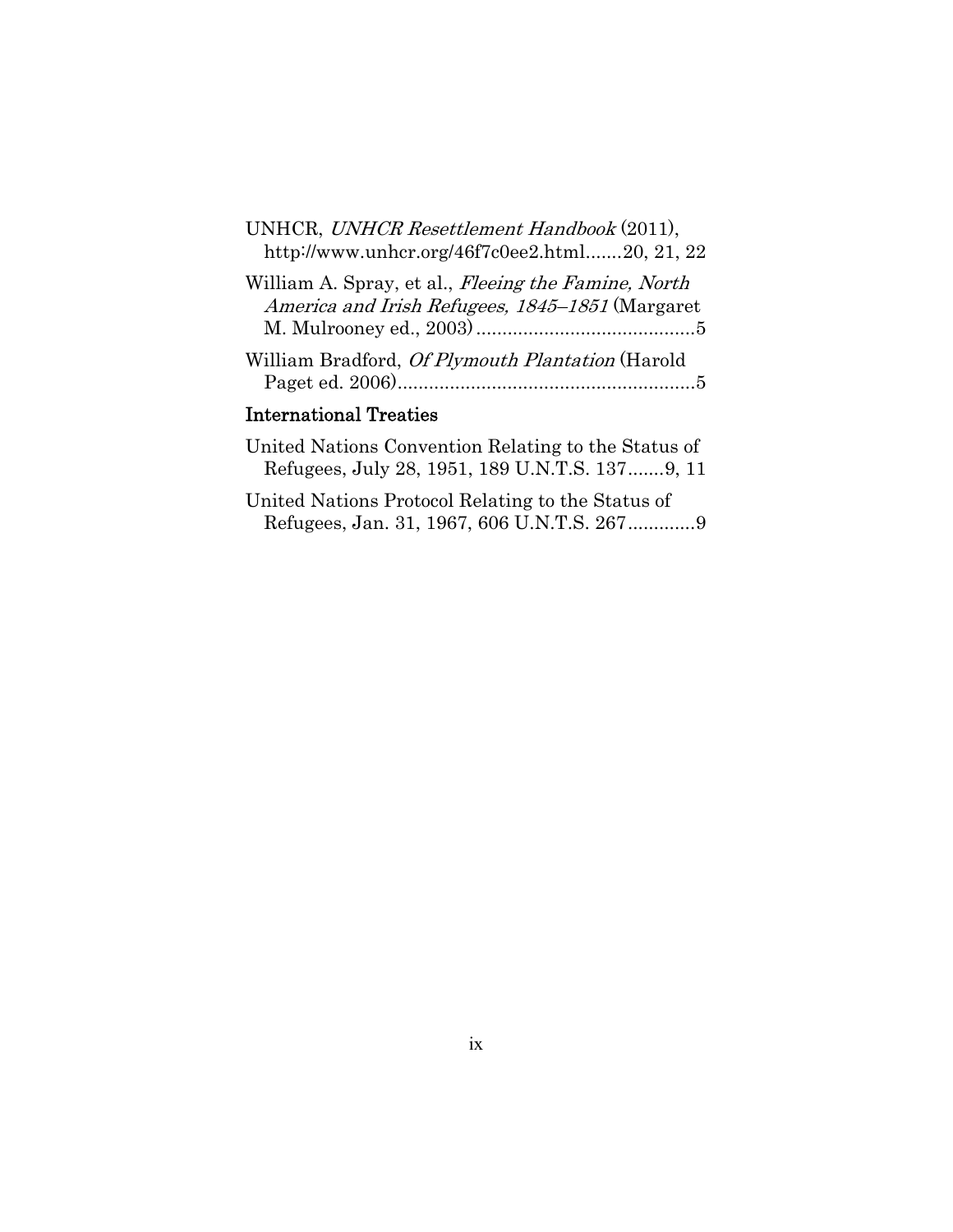| UNHCR, UNHCR Resettlement Handbook (2011),<br>http://www.unhcr.org/46f7c0ee2.html20, 21, 22                           |
|-----------------------------------------------------------------------------------------------------------------------|
| William A. Spray, et al., <i>Fleeing the Famine</i> , <i>North</i><br>America and Irish Refugees, 1845–1851 (Margaret |
| William Bradford, Of Plymouth Plantation (Harold                                                                      |
| <b>International Treaties</b>                                                                                         |
| Inited National Convention Polating to the Status of                                                                  |

| United Nations Convention Relating to the Status of |
|-----------------------------------------------------|
| Refugees, July 28, 1951, 189 U.N.T.S. 1379, 11      |
| United Nations Protocol Relating to the Status of   |
|                                                     |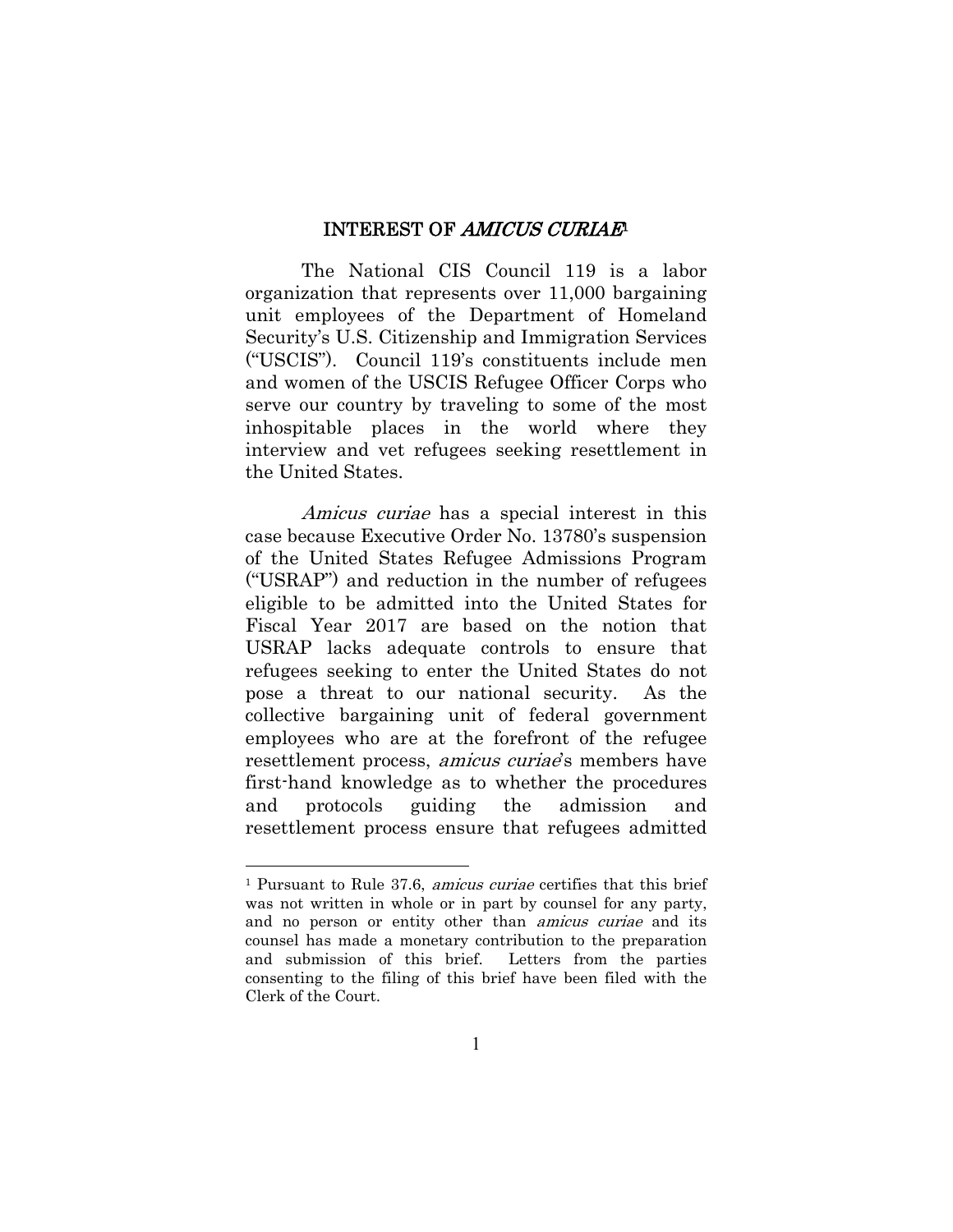#### INTEREST OF AMICUS CURIAE<sup>1</sup>

The National CIS Council 119 is a labor organization that represents over 11,000 bargaining unit employees of the Department of Homeland Security's U.S. Citizenship and Immigration Services ("USCIS"). Council 119's constituents include men and women of the USCIS Refugee Officer Corps who serve our country by traveling to some of the most inhospitable places in the world where they interview and vet refugees seeking resettlement in the United States.

Amicus curiae has a special interest in this case because Executive Order No. 13780's suspension of the United States Refugee Admissions Program ("USRAP") and reduction in the number of refugees eligible to be admitted into the United States for Fiscal Year 2017 are based on the notion that USRAP lacks adequate controls to ensure that refugees seeking to enter the United States do not pose a threat to our national security. As the collective bargaining unit of federal government employees who are at the forefront of the refugee resettlement process, *amicus curiae*'s members have first-hand knowledge as to whether the procedures and protocols guiding the admission and resettlement process ensure that refugees admitted

<sup>1</sup> Pursuant to Rule 37.6, amicus curiae certifies that this brief was not written in whole or in part by counsel for any party, and no person or entity other than amicus curiae and its counsel has made a monetary contribution to the preparation and submission of this brief. Letters from the parties consenting to the filing of this brief have been filed with the Clerk of the Court.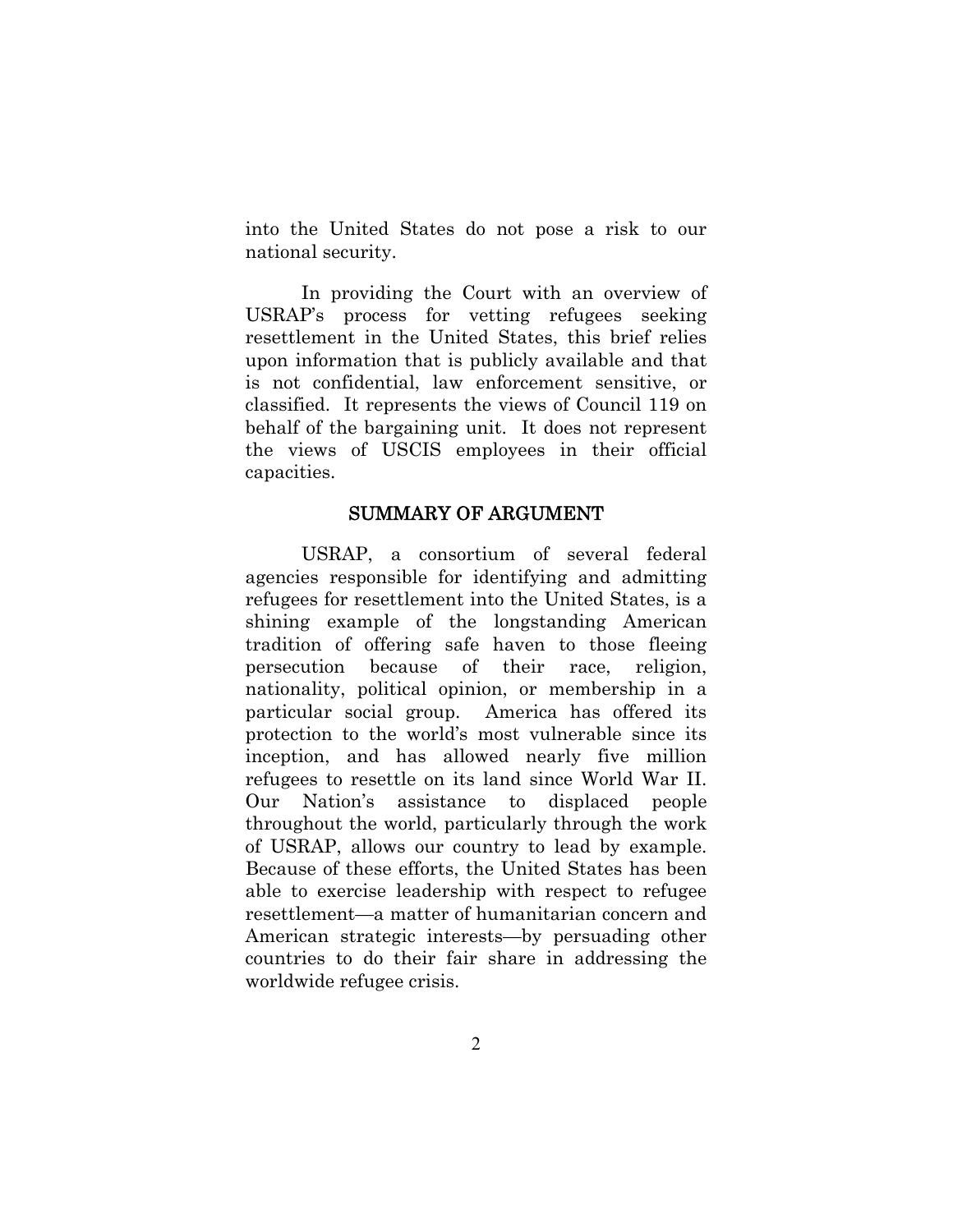into the United States do not pose a risk to our national security.

In providing the Court with an overview of USRAP's process for vetting refugees seeking resettlement in the United States, this brief relies upon information that is publicly available and that is not confidential, law enforcement sensitive, or classified. It represents the views of Council 119 on behalf of the bargaining unit. It does not represent the views of USCIS employees in their official capacities.

#### SUMMARY OF ARGUMENT

USRAP, a consortium of several federal agencies responsible for identifying and admitting refugees for resettlement into the United States, is a shining example of the longstanding American tradition of offering safe haven to those fleeing persecution because of their race, religion, nationality, political opinion, or membership in a particular social group. America has offered its protection to the world's most vulnerable since its inception, and has allowed nearly five million refugees to resettle on its land since World War II. Our Nation's assistance to displaced people throughout the world, particularly through the work of USRAP, allows our country to lead by example. Because of these efforts, the United States has been able to exercise leadership with respect to refugee resettlement—a matter of humanitarian concern and American strategic interests—by persuading other countries to do their fair share in addressing the worldwide refugee crisis.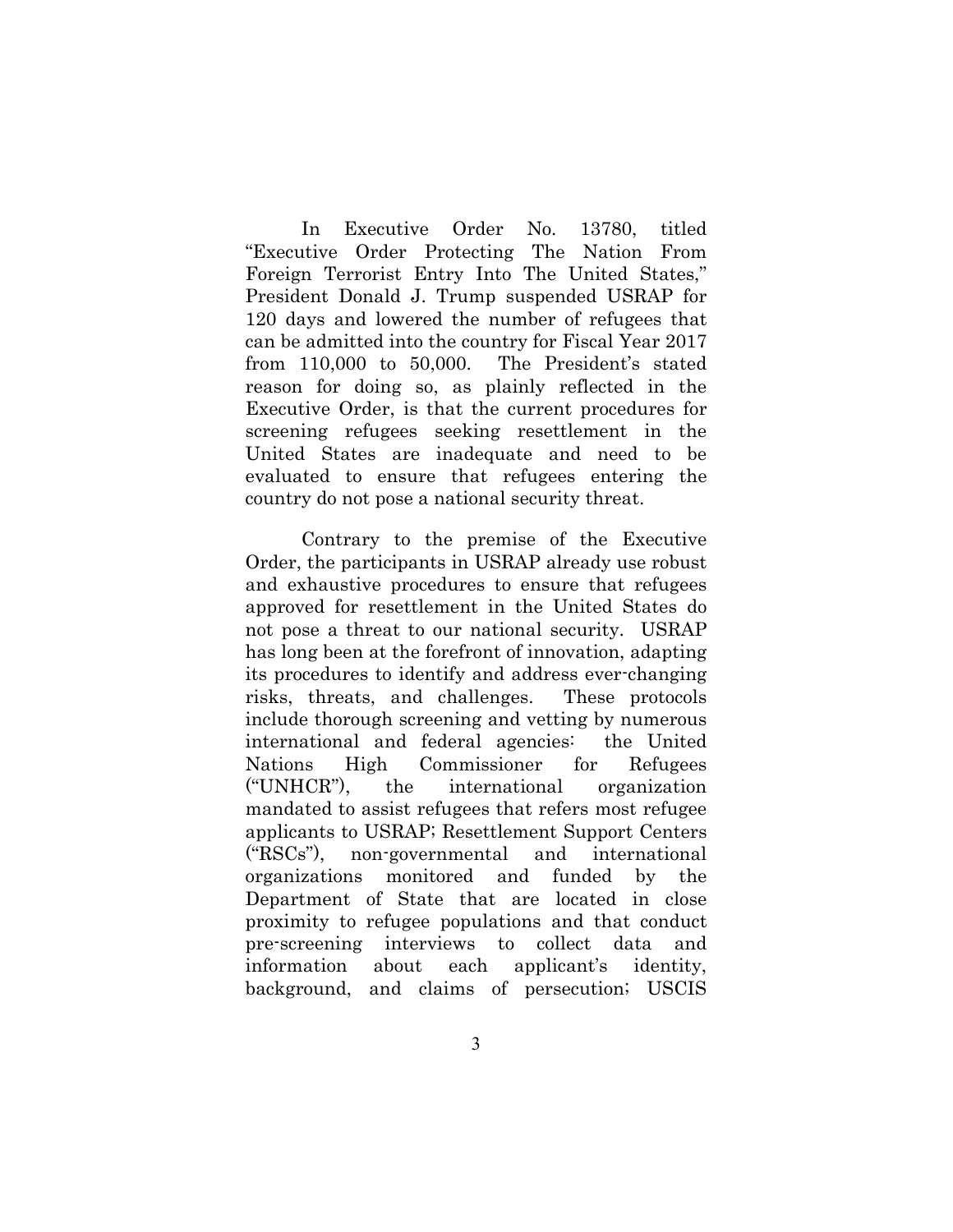In Executive Order No. 13780, titled "Executive Order Protecting The Nation From Foreign Terrorist Entry Into The United States," President Donald J. Trump suspended USRAP for 120 days and lowered the number of refugees that can be admitted into the country for Fiscal Year 2017 from 110,000 to 50,000. The President's stated reason for doing so, as plainly reflected in the Executive Order, is that the current procedures for screening refugees seeking resettlement in the United States are inadequate and need to be evaluated to ensure that refugees entering the country do not pose a national security threat.

Contrary to the premise of the Executive Order, the participants in USRAP already use robust and exhaustive procedures to ensure that refugees approved for resettlement in the United States do not pose a threat to our national security. USRAP has long been at the forefront of innovation, adapting its procedures to identify and address ever-changing risks, threats, and challenges. These protocols include thorough screening and vetting by numerous international and federal agencies: the United Nations High Commissioner for Refugees ("UNHCR"), the international organization mandated to assist refugees that refers most refugee applicants to USRAP; Resettlement Support Centers ("RSCs"), non-governmental and international organizations monitored and funded by the Department of State that are located in close proximity to refugee populations and that conduct pre-screening interviews to collect data and information about each applicant's identity, background, and claims of persecution; USCIS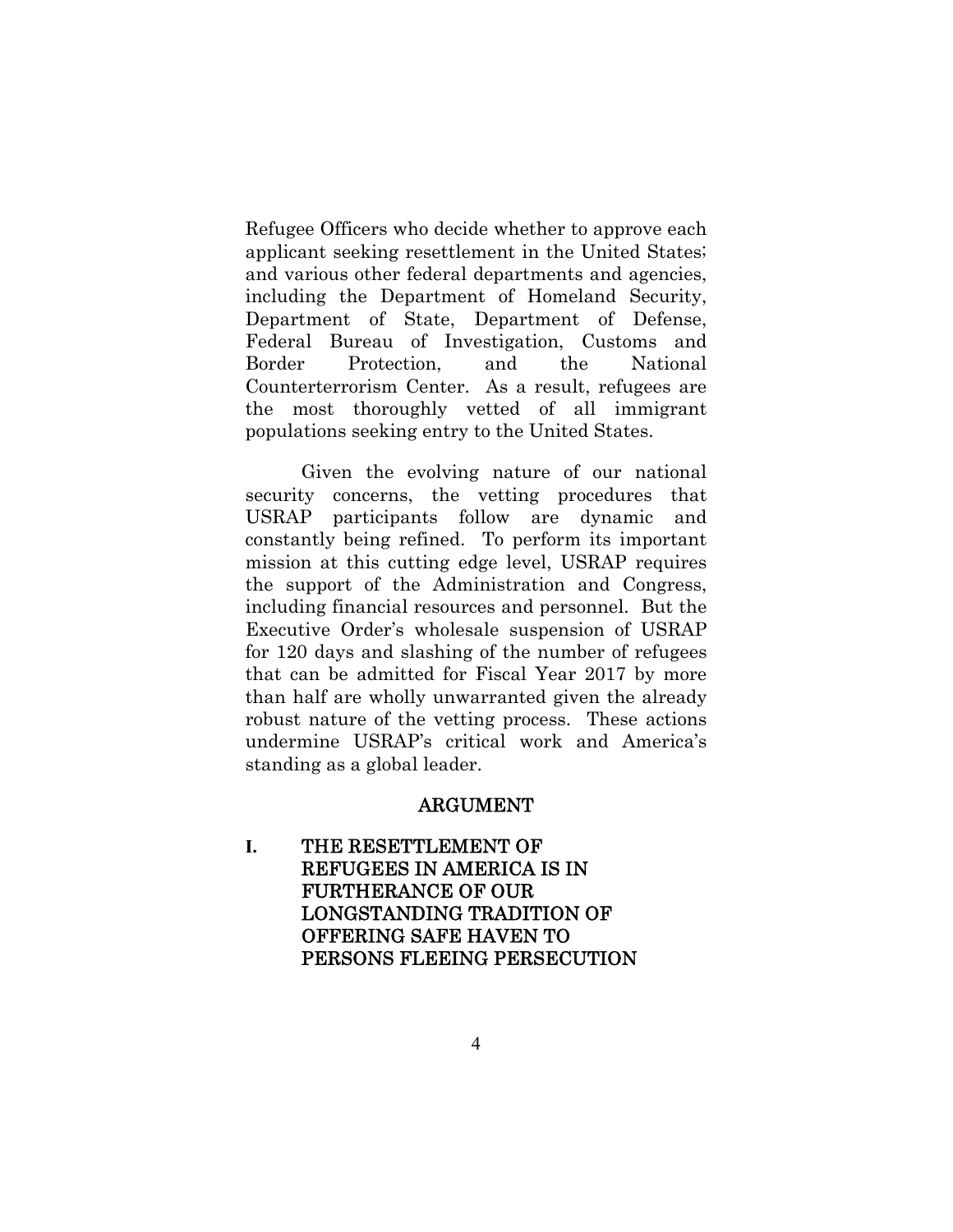Refugee Officers who decide whether to approve each applicant seeking resettlement in the United States; and various other federal departments and agencies, including the Department of Homeland Security, Department of State, Department of Defense, Federal Bureau of Investigation, Customs and Border Protection, and the National Counterterrorism Center. As a result, refugees are the most thoroughly vetted of all immigrant populations seeking entry to the United States.

Given the evolving nature of our national security concerns, the vetting procedures that USRAP participants follow are dynamic and constantly being refined. To perform its important mission at this cutting edge level, USRAP requires the support of the Administration and Congress, including financial resources and personnel. But the Executive Order's wholesale suspension of USRAP for 120 days and slashing of the number of refugees that can be admitted for Fiscal Year 2017 by more than half are wholly unwarranted given the already robust nature of the vetting process. These actions undermine USRAP's critical work and America's standing as a global leader.

#### ARGUMENT

**I.** THE RESETTLEMENT OF REFUGEES IN AMERICA IS IN FURTHERANCE OF OUR LONGSTANDING TRADITION OF OFFERING SAFE HAVEN TO PERSONS FLEEING PERSECUTION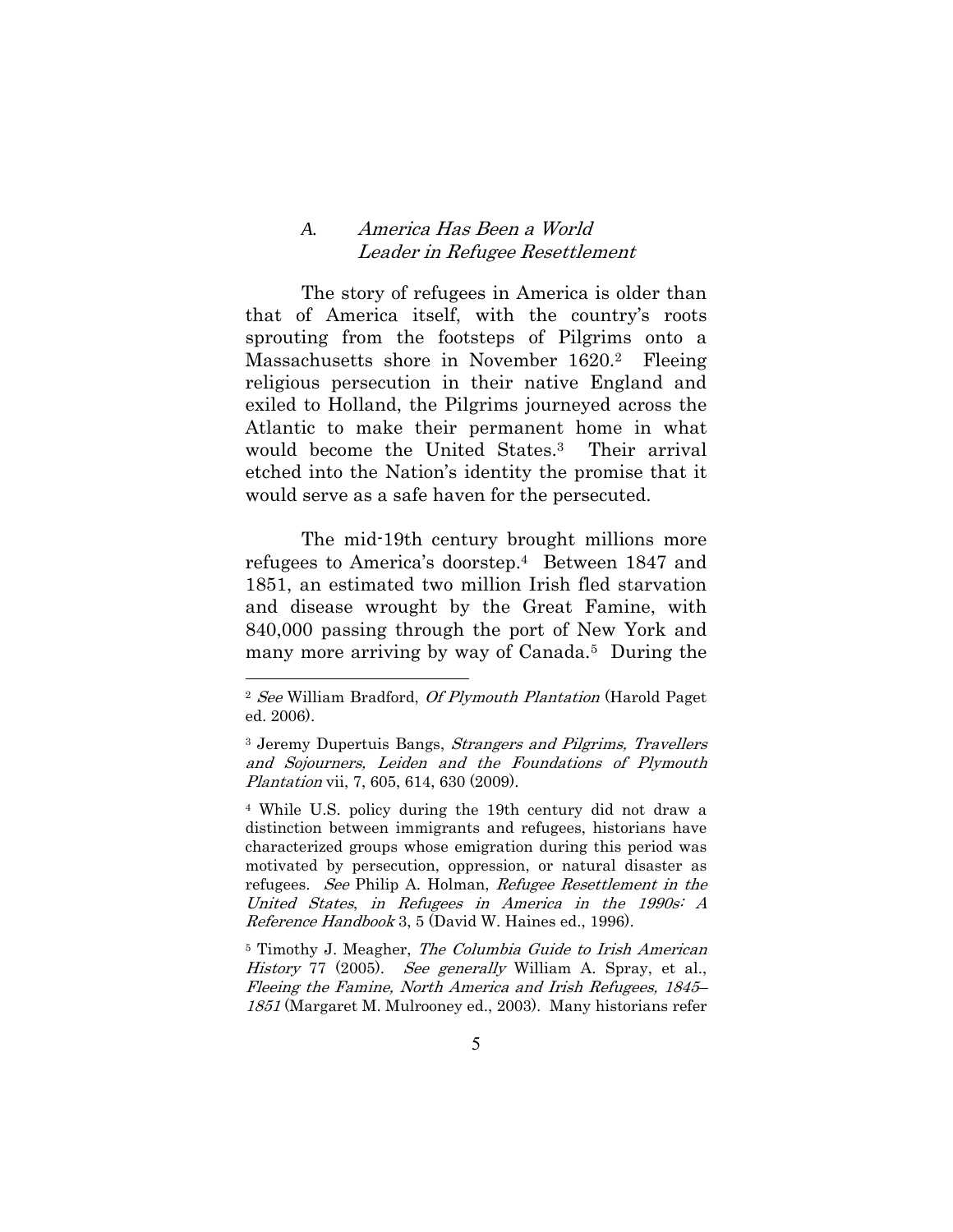#### *A.* America Has Been a World Leader in Refugee Resettlement

The story of refugees in America is older than that of America itself, with the country's roots sprouting from the footsteps of Pilgrims onto a Massachusetts shore in November 1620.2 Fleeing religious persecution in their native England and exiled to Holland, the Pilgrims journeyed across the Atlantic to make their permanent home in what would become the United States.3 Their arrival etched into the Nation's identity the promise that it would serve as a safe haven for the persecuted.

 The mid-19th century brought millions more refugees to America's doorstep.4 Between 1847 and 1851, an estimated two million Irish fled starvation and disease wrought by the Great Famine, with 840,000 passing through the port of New York and many more arriving by way of Canada.5 During the

 $\overline{a}$ 

4 While U.S. policy during the 19th century did not draw a distinction between immigrants and refugees, historians have characterized groups whose emigration during this period was motivated by persecution, oppression, or natural disaster as refugees. See Philip A. Holman, Refugee Resettlement in the United States, in Refugees in America in the 1990s: A Reference Handbook 3, 5 (David W. Haines ed., 1996).

5 Timothy J. Meagher, The Columbia Guide to Irish American History 77 (2005). See generally William A. Spray, et al., Fleeing the Famine, North America and Irish Refugees, 1845– 1851 (Margaret M. Mulrooney ed., 2003). Many historians refer

<sup>2</sup> See William Bradford, Of Plymouth Plantation (Harold Paget ed. 2006).

<sup>3</sup> Jeremy Dupertuis Bangs, Strangers and Pilgrims, Travellers and Sojourners, Leiden and the Foundations of Plymouth Plantation vii, 7, 605, 614, 630 (2009).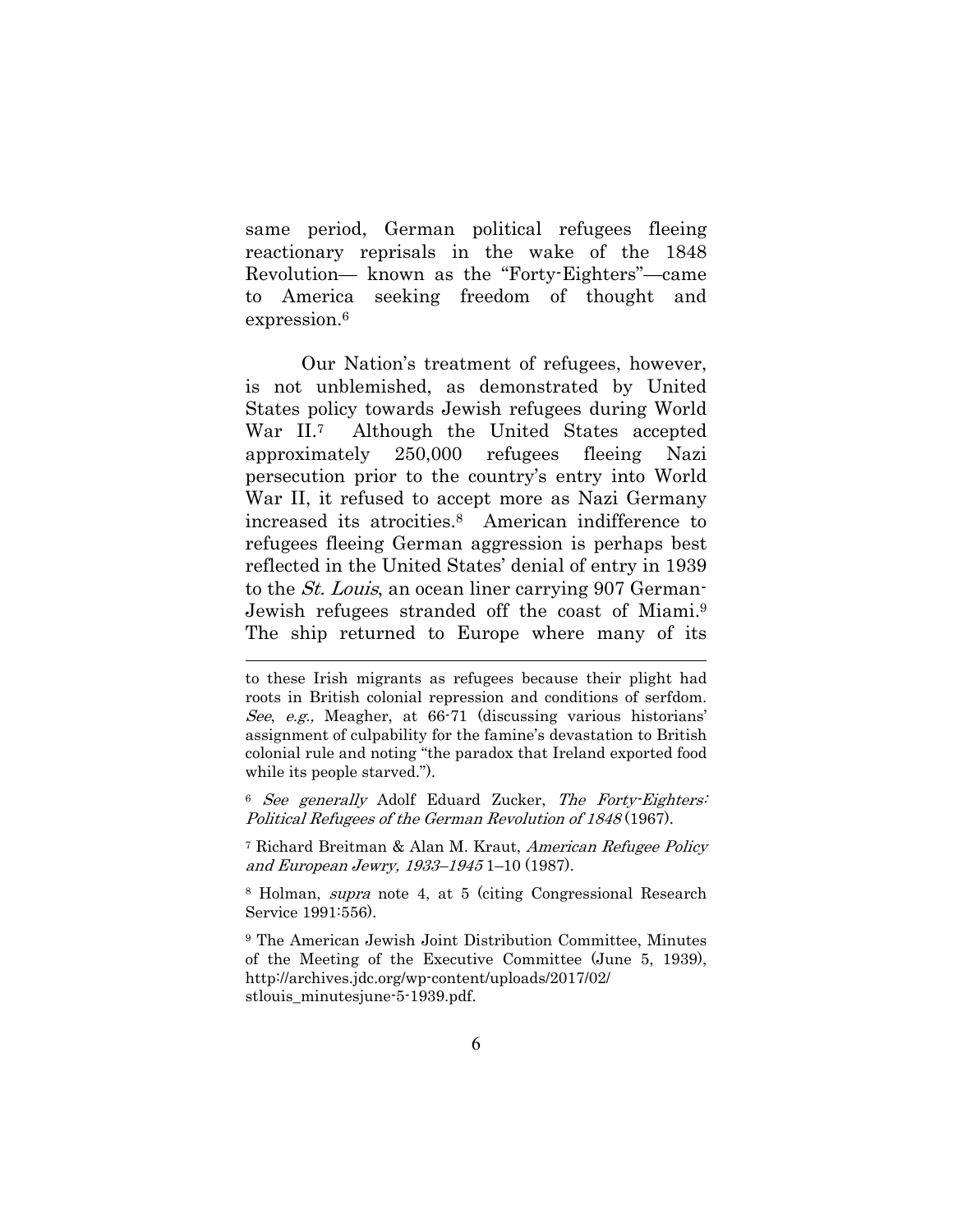same period, German political refugees fleeing reactionary reprisals in the wake of the 1848 Revolution— known as the "Forty-Eighters"—came to America seeking freedom of thought and expression.<sup>6</sup>

Our Nation's treatment of refugees, however, is not unblemished, as demonstrated by United States policy towards Jewish refugees during World War II.<sup>7</sup> Although the United States accepted approximately 250,000 refugees fleeing Nazi persecution prior to the country's entry into World War II, it refused to accept more as Nazi Germany increased its atrocities.8 American indifference to refugees fleeing German aggression is perhaps best reflected in the United States' denial of entry in 1939 to the St. Louis, an ocean liner carrying 907 German-Jewish refugees stranded off the coast of Miami.9 The ship returned to Europe where many of its

 $\overline{a}$ 

<sup>6</sup> See generally Adolf Eduard Zucker, The Forty-Eighters: Political Refugees of the German Revolution of 1848 (1967).

7 Richard Breitman & Alan M. Kraut, American Refugee Policy and European Jewry, 1933–1945 1–10 (1987).

8 Holman, supra note 4, at 5 (citing Congressional Research Service 1991:556).

9 The American Jewish Joint Distribution Committee, Minutes of the Meeting of the Executive Committee (June 5, 1939), http://archives.jdc.org/wp-content/uploads/2017/02/ stlouis\_minutesjune-5-1939.pdf.

to these Irish migrants as refugees because their plight had roots in British colonial repression and conditions of serfdom. See, e.g., Meagher, at 66-71 (discussing various historians' assignment of culpability for the famine's devastation to British colonial rule and noting "the paradox that Ireland exported food while its people starved.").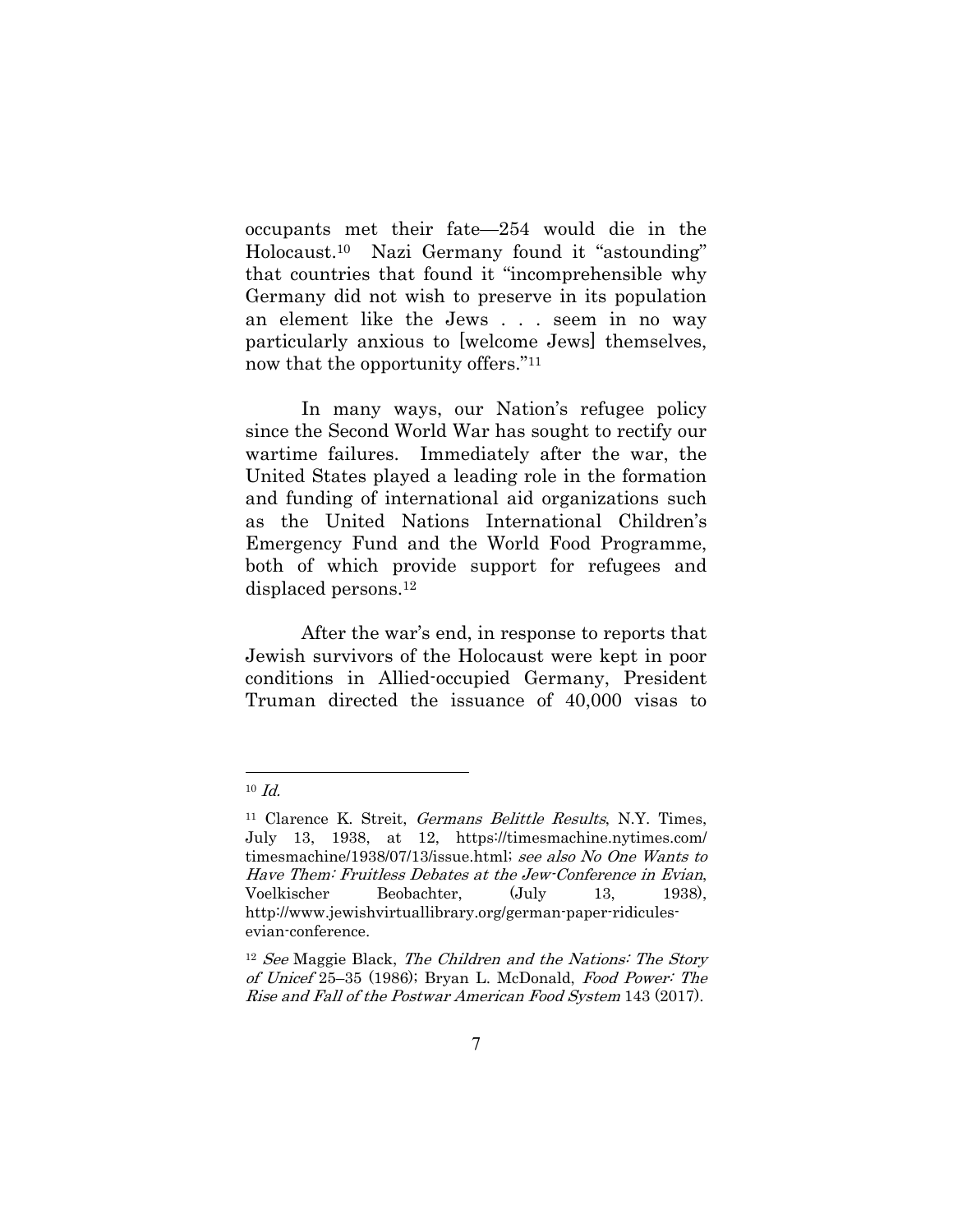occupants met their fate—254 would die in the Holocaust.10 Nazi Germany found it "astounding" that countries that found it "incomprehensible why Germany did not wish to preserve in its population an element like the Jews . . . seem in no way particularly anxious to [welcome Jews] themselves, now that the opportunity offers."11

 In many ways, our Nation's refugee policy since the Second World War has sought to rectify our wartime failures. Immediately after the war, the United States played a leading role in the formation and funding of international aid organizations such as the United Nations International Children's Emergency Fund and the World Food Programme, both of which provide support for refugees and displaced persons.12

After the war's end, in response to reports that Jewish survivors of the Holocaust were kept in poor conditions in Allied-occupied Germany, President Truman directed the issuance of 40,000 visas to

 $10$  *Id.* 

<sup>&</sup>lt;sup>11</sup> Clarence K. Streit, *Germans Belittle Results*, N.Y. Times, July 13, 1938, at 12, https://timesmachine.nytimes.com/ timesmachine/1938/07/13/issue.html; see also No One Wants to Have Them: Fruitless Debates at the Jew-Conference in Evian, Voelkischer Beobachter, (July 13, 1938), http://www.jewishvirtuallibrary.org/german-paper-ridiculesevian-conference.

 $12$  See Maggie Black, The Children and the Nations: The Story of Unicef 25–35 (1986); Bryan L. McDonald, Food Power: The Rise and Fall of the Postwar American Food System 143 (2017).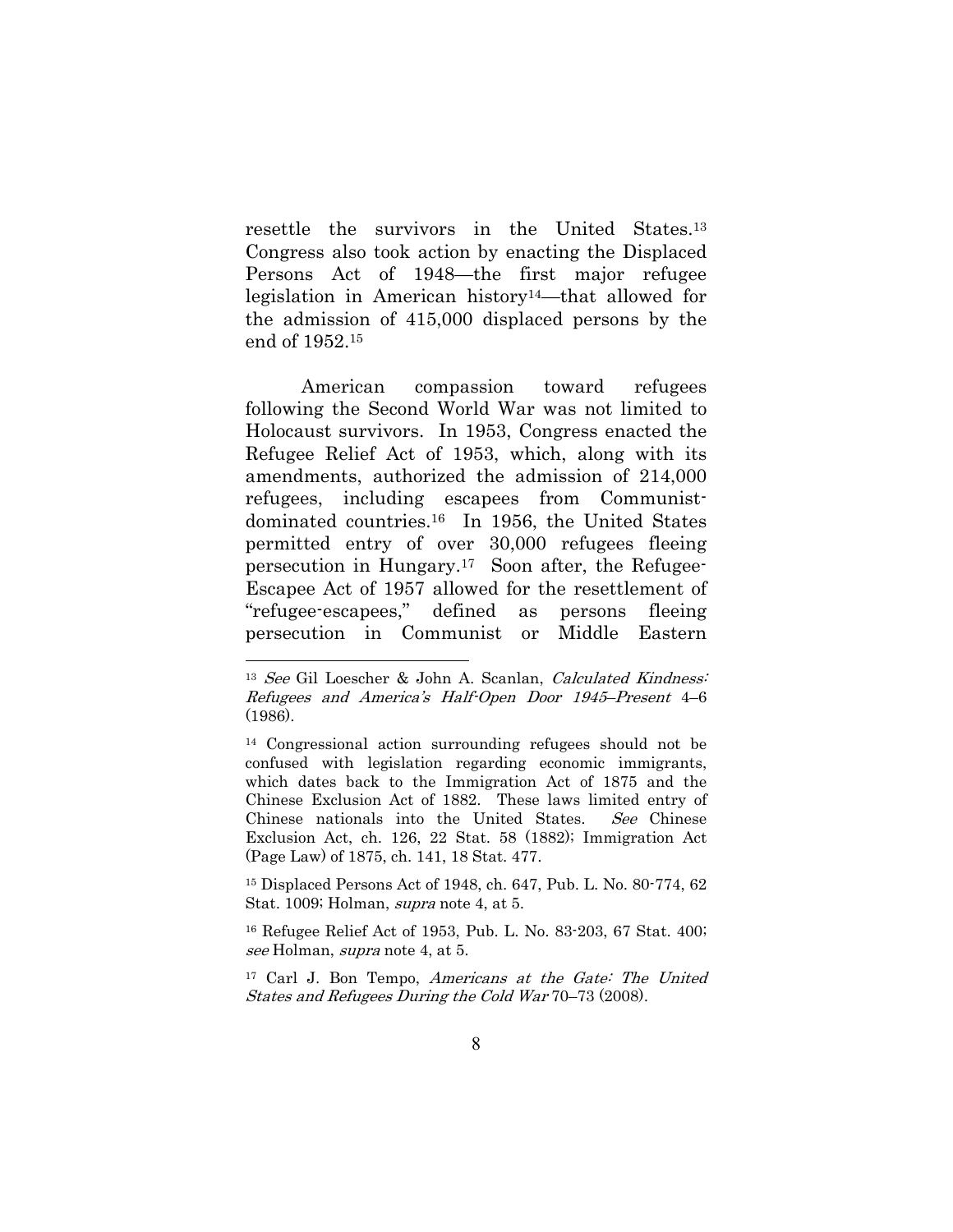resettle the survivors in the United States.13 Congress also took action by enacting the Displaced Persons Act of 1948—the first major refugee legislation in American history14—that allowed for the admission of 415,000 displaced persons by the end of 1952.15

American compassion toward refugees following the Second World War was not limited to Holocaust survivors. In 1953, Congress enacted the Refugee Relief Act of 1953, which, along with its amendments, authorized the admission of 214,000 refugees, including escapees from Communistdominated countries.16 In 1956, the United States permitted entry of over 30,000 refugees fleeing persecution in Hungary.17 Soon after, the Refugee-Escapee Act of 1957 allowed for the resettlement of "refugee-escapees," defined as persons fleeing persecution in Communist or Middle Eastern

 $\overline{a}$ 

15 Displaced Persons Act of 1948, ch. 647, Pub. L. No. 80-774, 62 Stat. 1009; Holman, supra note 4, at 5.

<sup>13</sup> See Gil Loescher & John A. Scanlan, Calculated Kindness: Refugees and America's Half-Open Door 1945–Present 4–6 (1986).

<sup>14</sup> Congressional action surrounding refugees should not be confused with legislation regarding economic immigrants, which dates back to the Immigration Act of 1875 and the Chinese Exclusion Act of 1882. These laws limited entry of Chinese nationals into the United States. See Chinese Exclusion Act, ch. 126, 22 Stat. 58 (1882); Immigration Act (Page Law) of 1875, ch. 141, 18 Stat. 477.

<sup>16</sup> Refugee Relief Act of 1953, Pub. L. No. 83-203, 67 Stat. 400; see Holman, supra note 4, at 5.

<sup>17</sup> Carl J. Bon Tempo, Americans at the Gate: The United States and Refugees During the Cold War 70–73 (2008).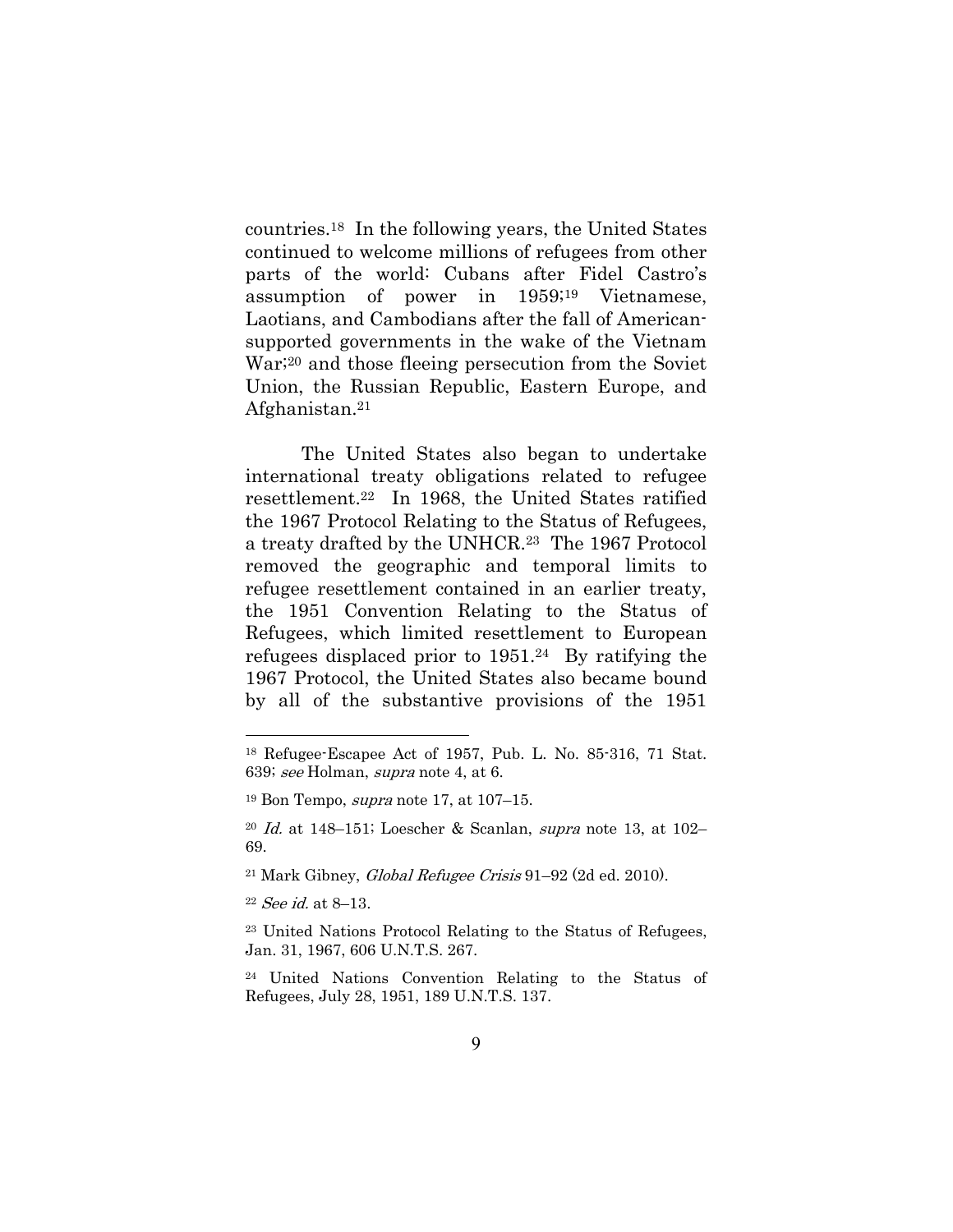countries.18 In the following years, the United States continued to welcome millions of refugees from other parts of the world: Cubans after Fidel Castro's assumption of power in 1959;19 Vietnamese, Laotians, and Cambodians after the fall of Americansupported governments in the wake of the Vietnam War;20 and those fleeing persecution from the Soviet Union, the Russian Republic, Eastern Europe, and Afghanistan.21

The United States also began to undertake international treaty obligations related to refugee resettlement.22 In 1968, the United States ratified the 1967 Protocol Relating to the Status of Refugees, a treaty drafted by the UNHCR.23 The 1967 Protocol removed the geographic and temporal limits to refugee resettlement contained in an earlier treaty, the 1951 Convention Relating to the Status of Refugees, which limited resettlement to European refugees displaced prior to 1951.24 By ratifying the 1967 Protocol, the United States also became bound by all of the substantive provisions of the 1951

<sup>18</sup> Refugee-Escapee Act of 1957, Pub. L. No. 85-316, 71 Stat. 639; see Holman, supra note 4, at 6.

 $19$  Bon Tempo, *supra* note 17, at 107–15.

 $20$  *Id.* at 148–151; Loescher & Scanlan, *supra* note 13, at 102– 69.

<sup>21</sup> Mark Gibney, Global Refugee Crisis 91–92 (2d ed. 2010).

<sup>22</sup> See id. at 8–13.

<sup>23</sup> United Nations Protocol Relating to the Status of Refugees, Jan. 31, 1967, 606 U.N.T.S. 267.

<sup>24</sup> United Nations Convention Relating to the Status of Refugees, July 28, 1951, 189 U.N.T.S. 137.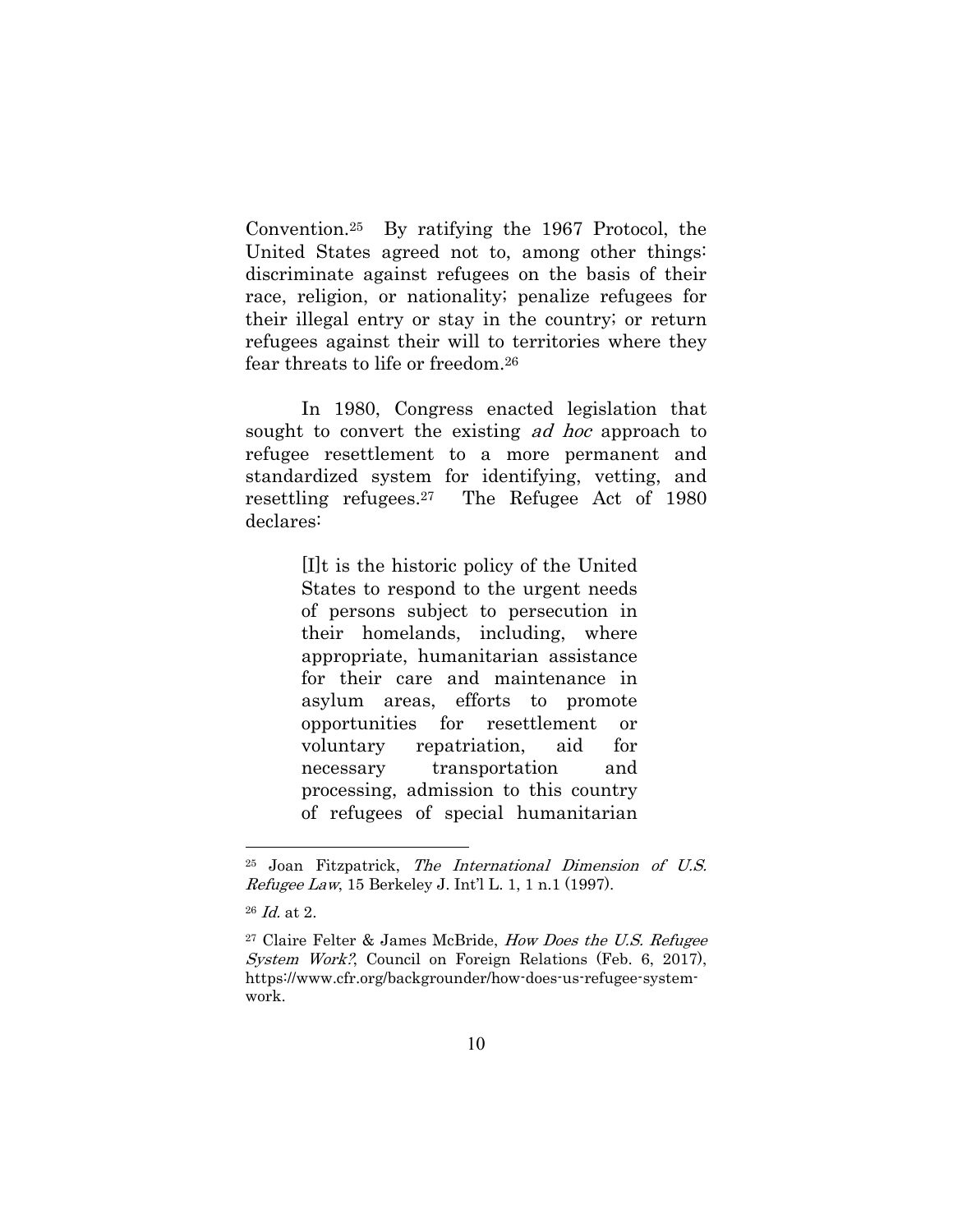Convention.25 By ratifying the 1967 Protocol, the United States agreed not to, among other things: discriminate against refugees on the basis of their race, religion, or nationality; penalize refugees for their illegal entry or stay in the country; or return refugees against their will to territories where they fear threats to life or freedom.26

In 1980, Congress enacted legislation that sought to convert the existing *ad hoc* approach to refugee resettlement to a more permanent and standardized system for identifying, vetting, and resettling refugees.27 The Refugee Act of 1980 declares:

> [I]t is the historic policy of the United States to respond to the urgent needs of persons subject to persecution in their homelands, including, where appropriate, humanitarian assistance for their care and maintenance in asylum areas, efforts to promote opportunities for resettlement or voluntary repatriation, aid for necessary transportation and processing, admission to this country of refugees of special humanitarian

<sup>25</sup> Joan Fitzpatrick, The International Dimension of U.S. Refugee Law, 15 Berkeley J. Int'l L. 1, 1 n.1 (1997).

<sup>26</sup> Id. at 2.

<sup>27</sup> Claire Felter & James McBride, How Does the U.S. Refugee System Work?, Council on Foreign Relations (Feb. 6, 2017), https://www.cfr.org/backgrounder/how-does-us-refugee-systemwork.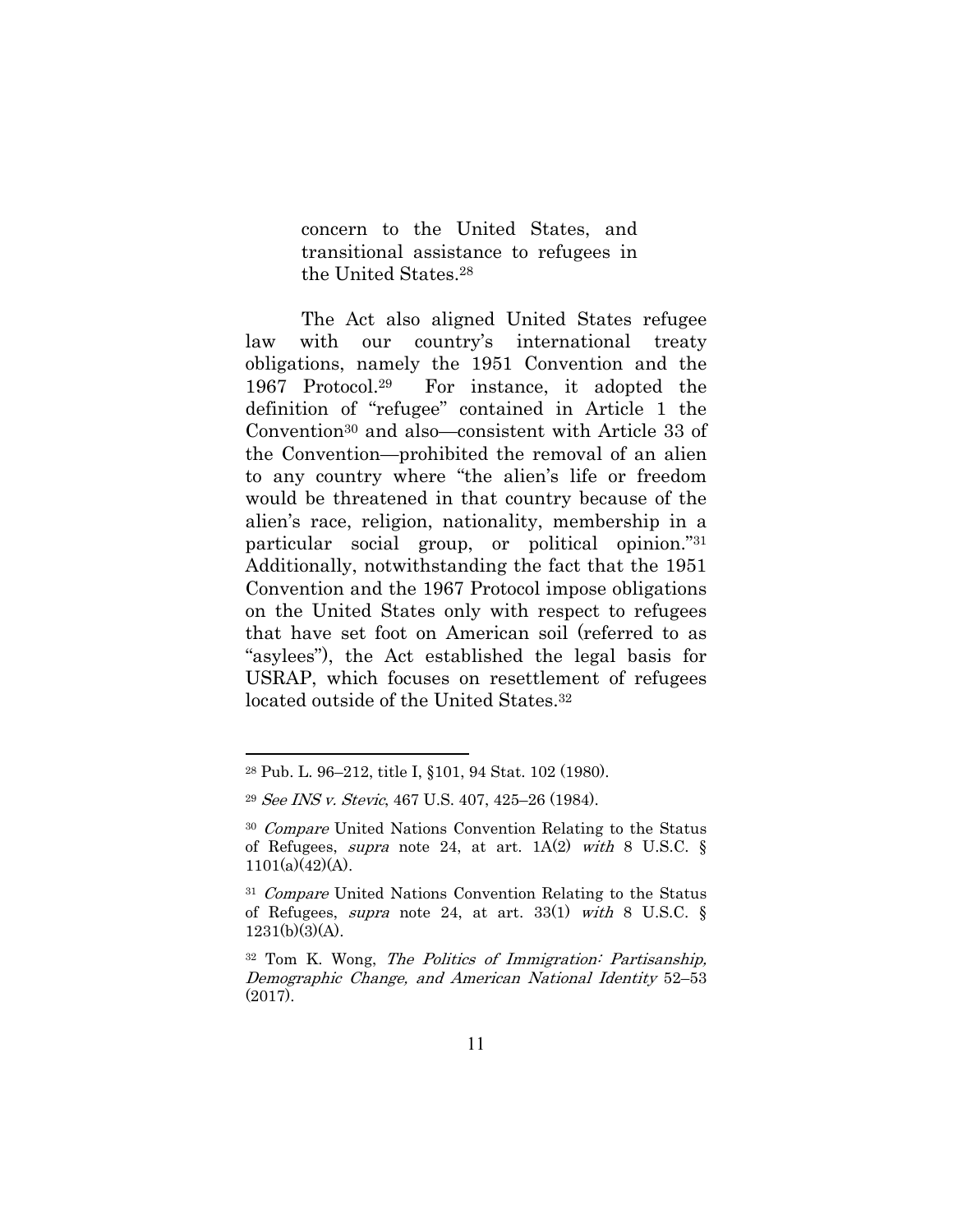concern to the United States, and transitional assistance to refugees in the United States.28

The Act also aligned United States refugee law with our country's international treaty obligations, namely the 1951 Convention and the 1967 Protocol.29 For instance, it adopted the definition of "refugee" contained in Article 1 the Convention30 and also—consistent with Article 33 of the Convention—prohibited the removal of an alien to any country where "the alien's life or freedom would be threatened in that country because of the alien's race, religion, nationality, membership in a particular social group, or political opinion."31 Additionally, notwithstanding the fact that the 1951 Convention and the 1967 Protocol impose obligations on the United States only with respect to refugees that have set foot on American soil (referred to as "asylees"), the Act established the legal basis for USRAP, which focuses on resettlement of refugees located outside of the United States.32

<sup>28</sup> Pub. L. 96–212, title I, §101, 94 Stat. 102 (1980).

<sup>29</sup> See INS v. Stevic, 467 U.S. 407, 425–26 (1984).

<sup>30</sup> Compare United Nations Convention Relating to the Status of Refugees, *supra* note 24, at art.  $1A(2)$  with 8 U.S.C. §  $1101(a)(42)(A)$ .

<sup>&</sup>lt;sup>31</sup> Compare United Nations Convention Relating to the Status of Refugees, *supra* note 24, at art. 33(1) with 8 U.S.C.  $\S$  $1231(b)(3)(A)$ .

<sup>32</sup> Tom K. Wong, The Politics of Immigration: Partisanship, Demographic Change, and American National Identity 52–53 (2017).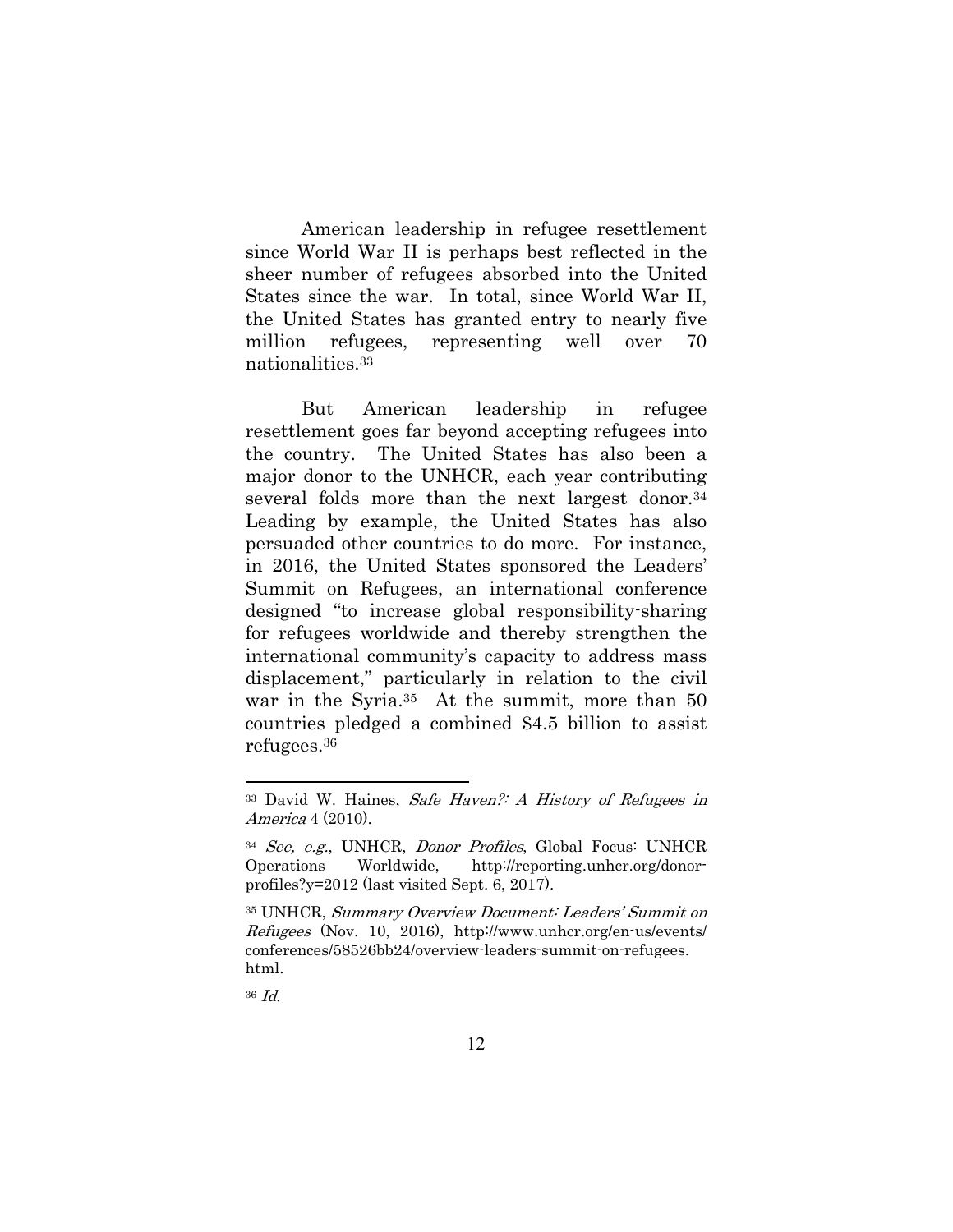American leadership in refugee resettlement since World War II is perhaps best reflected in the sheer number of refugees absorbed into the United States since the war. In total, since World War II, the United States has granted entry to nearly five million refugees, representing well over 70 nationalities.33

But American leadership in refugee resettlement goes far beyond accepting refugees into the country. The United States has also been a major donor to the UNHCR, each year contributing several folds more than the next largest donor.<sup>34</sup> Leading by example, the United States has also persuaded other countries to do more. For instance, in 2016, the United States sponsored the Leaders' Summit on Refugees, an international conference designed "to increase global responsibility-sharing for refugees worldwide and thereby strengthen the international community's capacity to address mass displacement," particularly in relation to the civil war in the Syria.35 At the summit, more than 50 countries pledged a combined \$4.5 billion to assist refugees.36

36 Id.

<sup>33</sup> David W. Haines, Safe Haven?: A History of Refugees in America 4 (2010).

<sup>34</sup> See, e.g., UNHCR, Donor Profiles, Global Focus: UNHCR Operations Worldwide, http://reporting.unhcr.org/donorprofiles?y=2012 (last visited Sept. 6, 2017).

<sup>35</sup> UNHCR, Summary Overview Document: Leaders' Summit on Refugees (Nov. 10, 2016), http://www.unhcr.org/en-us/events/ conferences/58526bb24/overview-leaders-summit-on-refugees. html.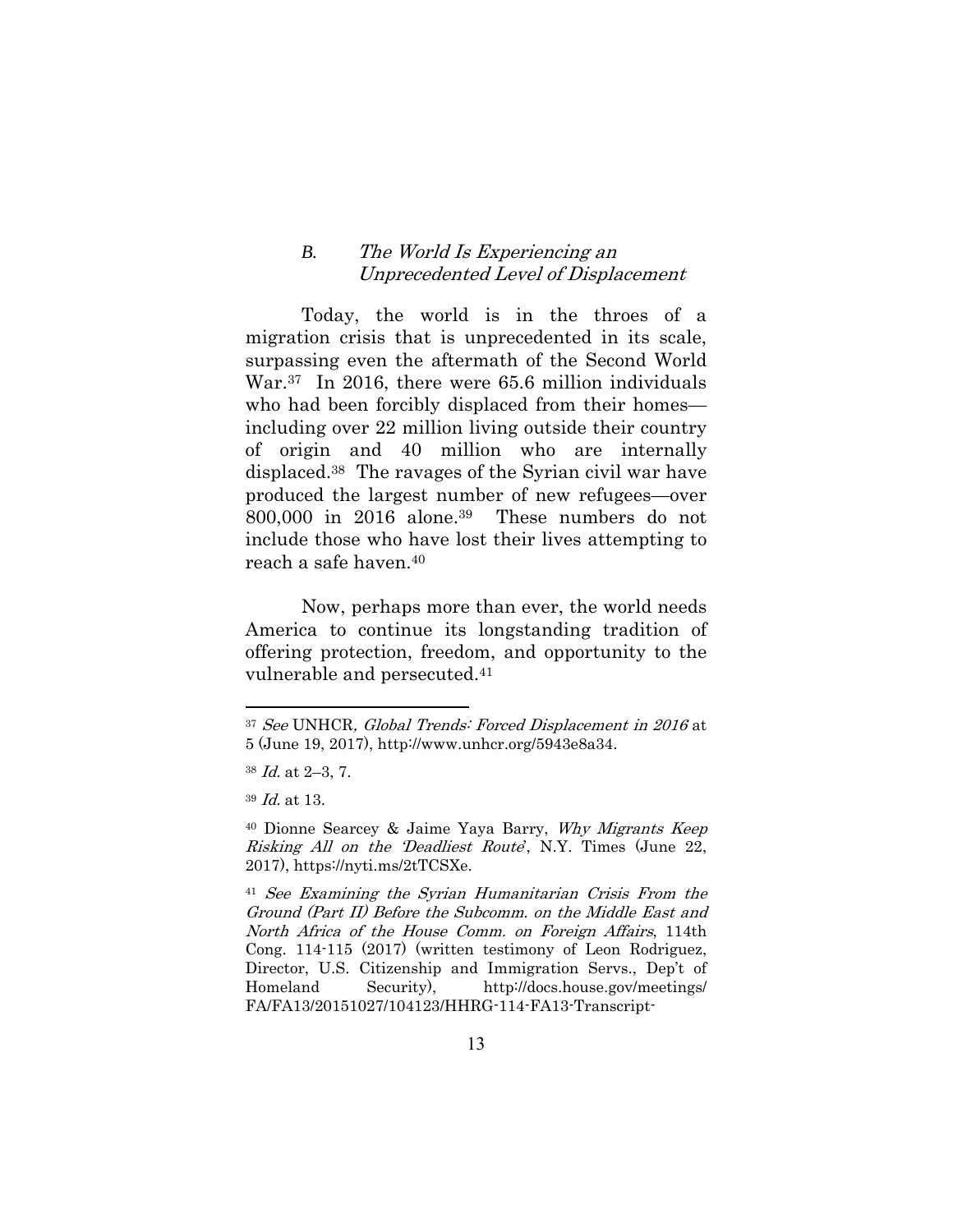#### *B.* The World Is Experiencing an Unprecedented Level of Displacement

Today, the world is in the throes of a migration crisis that is unprecedented in its scale, surpassing even the aftermath of the Second World War.<sup>37</sup> In 2016, there were 65.6 million individuals who had been forcibly displaced from their homes including over 22 million living outside their country of origin and 40 million who are internally displaced.38 The ravages of the Syrian civil war have produced the largest number of new refugees—over 800,000 in 2016 alone.39 These numbers do not include those who have lost their lives attempting to reach a safe haven.40

Now, perhaps more than ever, the world needs America to continue its longstanding tradition of offering protection, freedom, and opportunity to the vulnerable and persecuted.41

<sup>37</sup> See UNHCR, Global Trends: Forced Displacement in 2016 at 5 (June 19, 2017), http://www.unhcr.org/5943e8a34.

 $38$  *Id.* at 2–3, 7.

<sup>39</sup> Id. at 13.

<sup>40</sup> Dionne Searcey & Jaime Yaya Barry, Why Migrants Keep Risking All on the 'Deadliest Route', N.Y. Times (June 22, 2017), https://nyti.ms/2tTCSXe.

<sup>41</sup> See Examining the Syrian Humanitarian Crisis From the Ground (Part II) Before the Subcomm. on the Middle East and North Africa of the House Comm. on Foreign Affairs, 114th Cong. 114-115 (2017) (written testimony of Leon Rodriguez, Director, U.S. Citizenship and Immigration Servs., Dep't of Homeland Security), http://docs.house.gov/meetings/ FA/FA13/20151027/104123/HHRG-114-FA13-Transcript-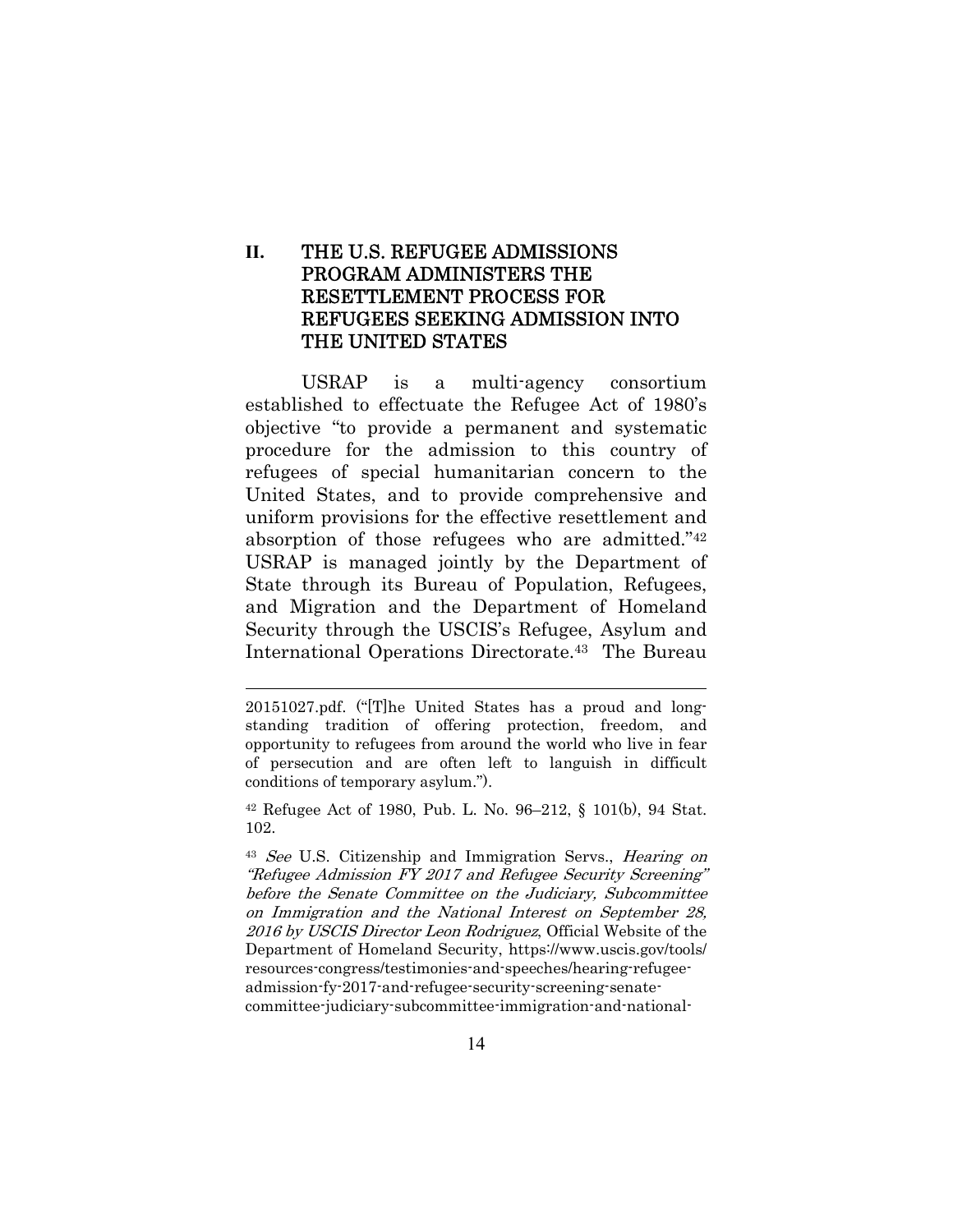## **II.** THE U.S. REFUGEE ADMISSIONS PROGRAM ADMINISTERS THE RESETTLEMENT PROCESS FOR REFUGEES SEEKING ADMISSION INTO THE UNITED STATES

USRAP is a multi-agency consortium established to effectuate the Refugee Act of 1980's objective "to provide a permanent and systematic procedure for the admission to this country of refugees of special humanitarian concern to the United States, and to provide comprehensive and uniform provisions for the effective resettlement and absorption of those refugees who are admitted."42 USRAP is managed jointly by the Department of State through its Bureau of Population, Refugees, and Migration and the Department of Homeland Security through the USCIS's Refugee, Asylum and International Operations Directorate.43 The Bureau

<sup>20151027.</sup>pdf. ("[T]he United States has a proud and longstanding tradition of offering protection, freedom, and opportunity to refugees from around the world who live in fear of persecution and are often left to languish in difficult conditions of temporary asylum.").

<sup>42</sup> Refugee Act of 1980, Pub. L. No. 96–212, § 101(b), 94 Stat. 102.

<sup>43</sup> See U.S. Citizenship and Immigration Servs., Hearing on "Refugee Admission FY 2017 and Refugee Security Screening" before the Senate Committee on the Judiciary, Subcommittee on Immigration and the National Interest on September 28, 2016 by USCIS Director Leon Rodriguez, Official Website of the Department of Homeland Security, https://www.uscis.gov/tools/ resources-congress/testimonies-and-speeches/hearing-refugeeadmission-fy-2017-and-refugee-security-screening-senatecommittee-judiciary-subcommittee-immigration-and-national-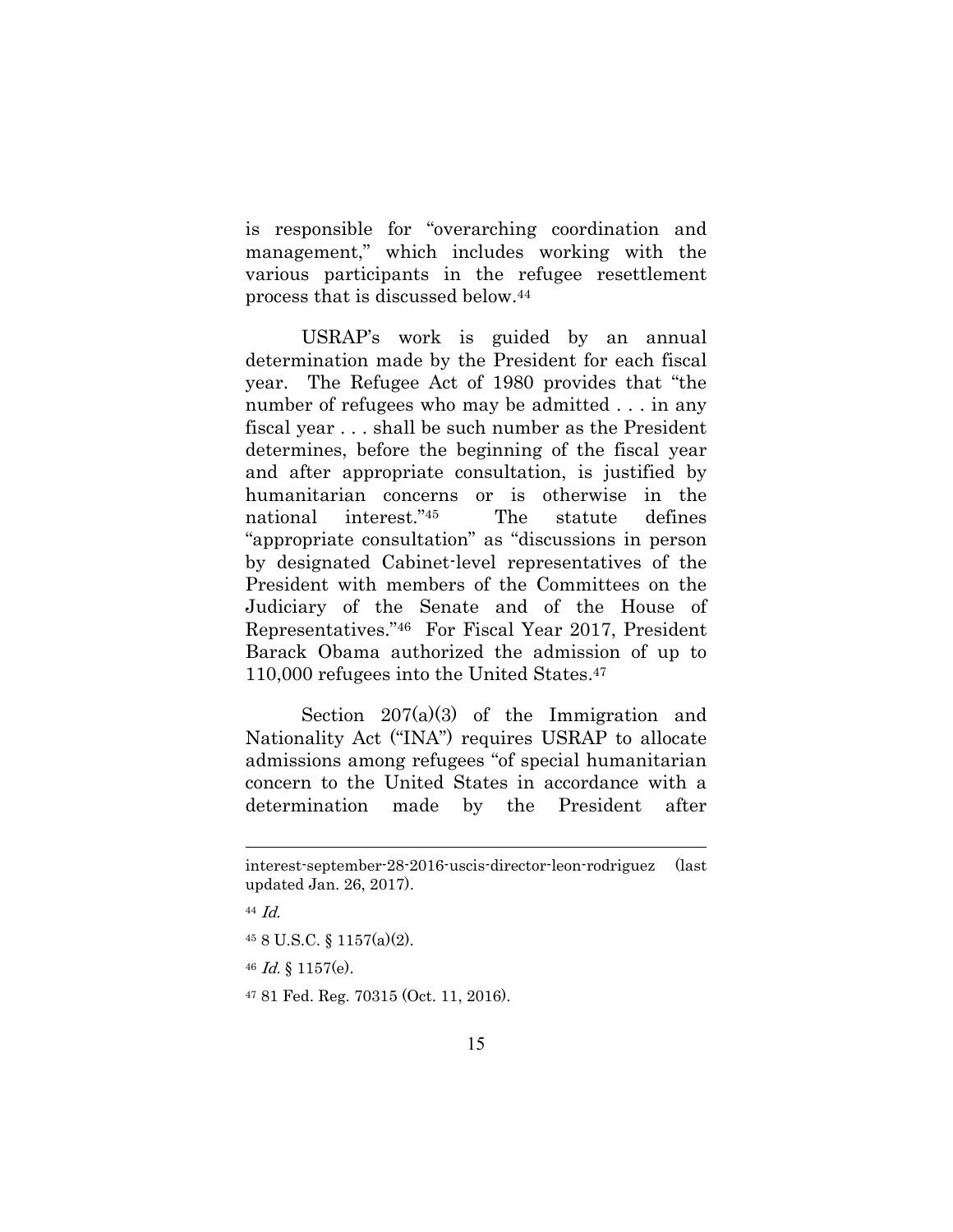is responsible for "overarching coordination and management," which includes working with the various participants in the refugee resettlement process that is discussed below.44

USRAP's work is guided by an annual determination made by the President for each fiscal year. The Refugee Act of 1980 provides that "the number of refugees who may be admitted . . . in any fiscal year . . . shall be such number as the President determines, before the beginning of the fiscal year and after appropriate consultation, is justified by humanitarian concerns or is otherwise in the national interest."45 The statute defines "appropriate consultation" as "discussions in person by designated Cabinet-level representatives of the President with members of the Committees on the Judiciary of the Senate and of the House of Representatives."46 For Fiscal Year 2017, President Barack Obama authorized the admission of up to 110,000 refugees into the United States.47

Section 207(a)(3) of the Immigration and Nationality Act ("INA") requires USRAP to allocate admissions among refugees "of special humanitarian concern to the United States in accordance with a determination made by the President after

interest-september-28-2016-uscis-director-leon-rodriguez (last updated Jan. 26, 2017).

<sup>44</sup> Id.

<sup>45 8</sup> U.S.C. § 1157(a)(2).

<sup>46</sup> Id. § 1157(e).

<sup>47 81</sup> Fed. Reg. 70315 (Oct. 11, 2016).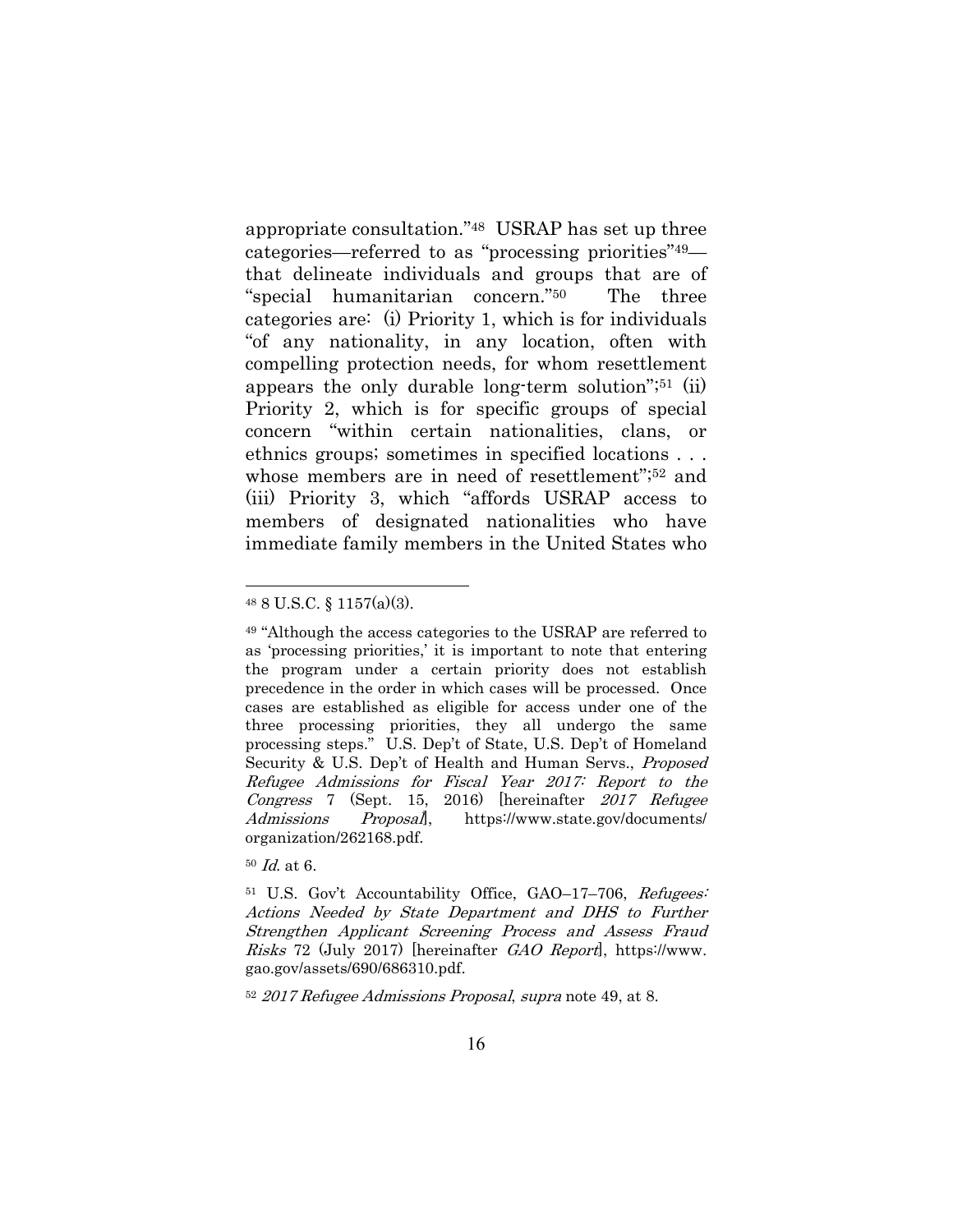appropriate consultation."48 USRAP has set up three categories—referred to as "processing priorities"49 that delineate individuals and groups that are of "special humanitarian concern."50 The three categories are: (i) Priority 1, which is for individuals "of any nationality, in any location, often with compelling protection needs, for whom resettlement appears the only durable long-term solution";51 (ii) Priority 2, which is for specific groups of special concern "within certain nationalities, clans, or ethnics groups; sometimes in specified locations . . . whose members are in need of resettlement";<sup>52</sup> and (iii) Priority 3, which "affords USRAP access to members of designated nationalities who have immediate family members in the United States who

 $\overline{a}$ 

<sup>52</sup> 2017 Refugee Admissions Proposal, supra note 49, at 8.

<sup>48 8</sup> U.S.C. § 1157(a)(3).

<sup>49 &</sup>quot;Although the access categories to the USRAP are referred to as 'processing priorities,' it is important to note that entering the program under a certain priority does not establish precedence in the order in which cases will be processed. Once cases are established as eligible for access under one of the three processing priorities, they all undergo the same processing steps." U.S. Dep't of State, U.S. Dep't of Homeland Security & U.S. Dep't of Health and Human Servs., Proposed Refugee Admissions for Fiscal Year 2017: Report to the Congress 7 (Sept. 15, 2016) [hereinafter 2017 Refugee Admissions Proposal, https://www.state.gov/documents/ organization/262168.pdf.

 $50$   $\emph{Id.}$  at 6.

<sup>&</sup>lt;sup>51</sup> U.S. Gov't Accountability Office, GAO–17–706, Refugees: Actions Needed by State Department and DHS to Further Strengthen Applicant Screening Process and Assess Fraud Risks 72 (July 2017) [hereinafter GAO Report], https://www. gao.gov/assets/690/686310.pdf.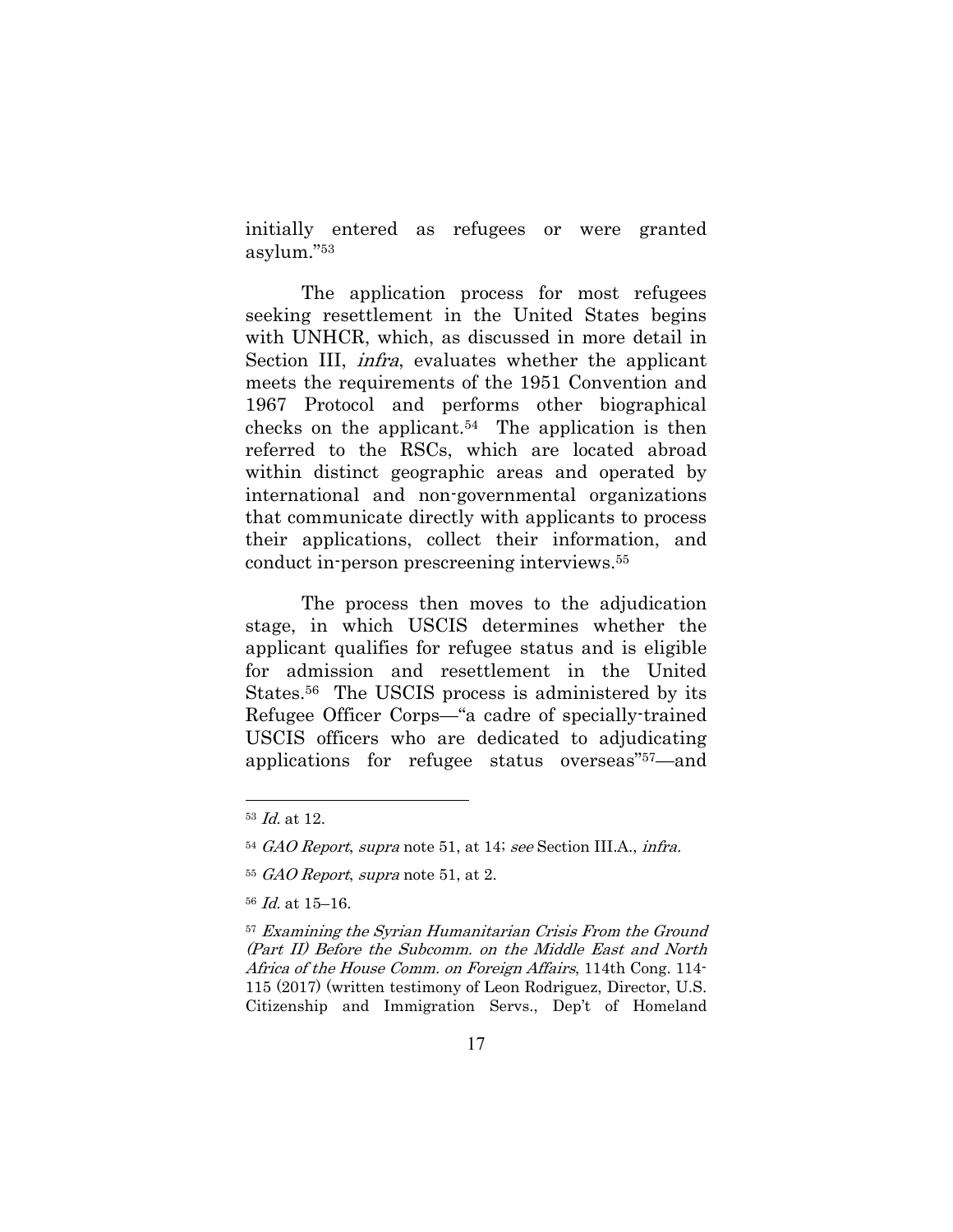initially entered as refugees or were granted asylum."53

The application process for most refugees seeking resettlement in the United States begins with UNHCR, which, as discussed in more detail in Section III, infra, evaluates whether the applicant meets the requirements of the 1951 Convention and 1967 Protocol and performs other biographical checks on the applicant.<sup>54</sup> The application is then referred to the RSCs, which are located abroad within distinct geographic areas and operated by international and non-governmental organizations that communicate directly with applicants to process their applications, collect their information, and conduct in-person prescreening interviews.55

The process then moves to the adjudication stage, in which USCIS determines whether the applicant qualifies for refugee status and is eligible for admission and resettlement in the United States.56 The USCIS process is administered by its Refugee Officer Corps—"a cadre of specially-trained USCIS officers who are dedicated to adjudicating applications for refugee status overseas"57—and

<sup>53</sup> Id. at 12.

<sup>54</sup> GAO Report, supra note 51, at 14; see Section III.A., infra.

<sup>55</sup> GAO Report, supra note 51, at 2.

<sup>56</sup> Id. at 15–16.

<sup>57</sup> Examining the Syrian Humanitarian Crisis From the Ground (Part II) Before the Subcomm. on the Middle East and North Africa of the House Comm. on Foreign Affairs, 114th Cong. 114-115 (2017) (written testimony of Leon Rodriguez, Director, U.S. Citizenship and Immigration Servs., Dep't of Homeland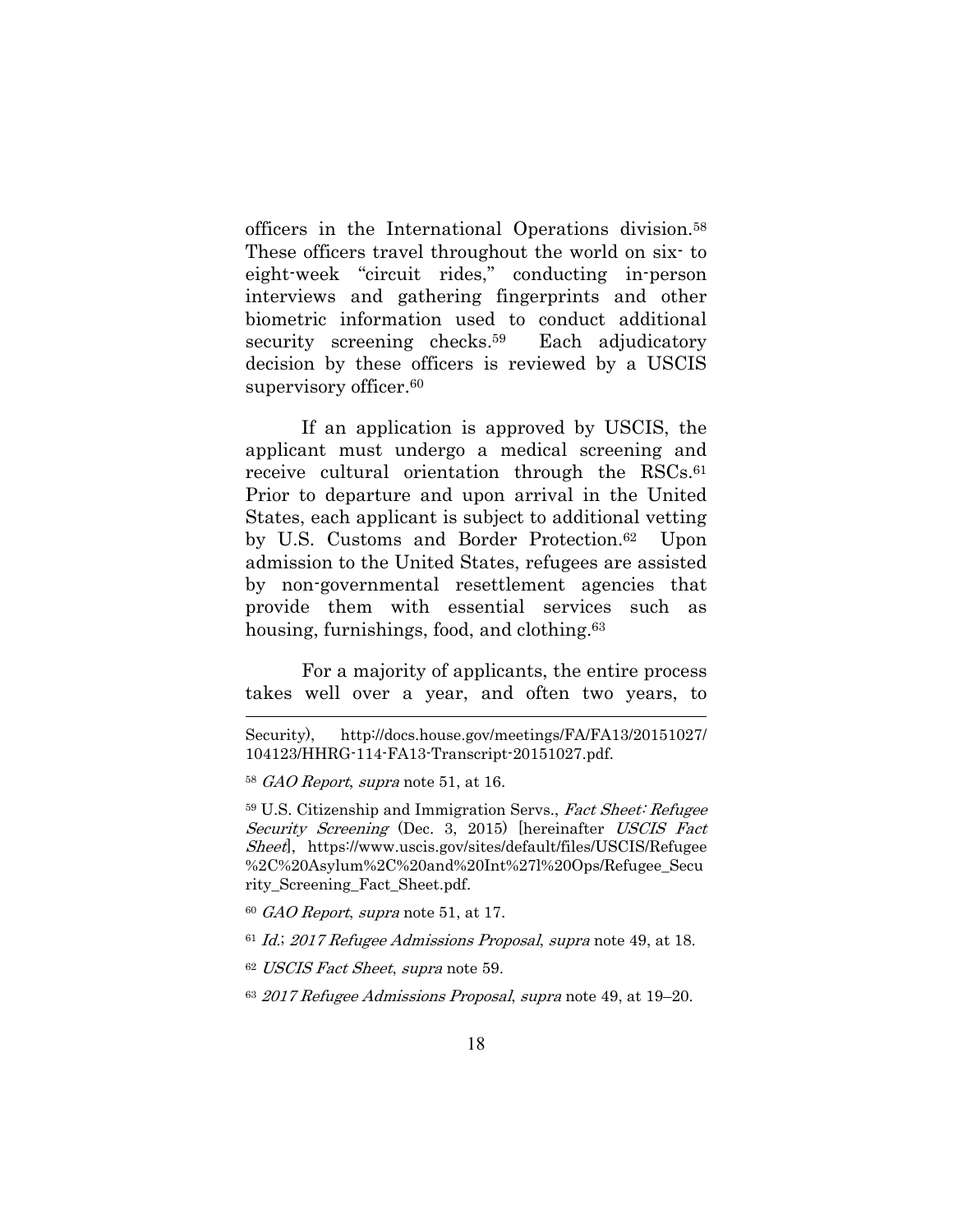officers in the International Operations division.58 These officers travel throughout the world on six- to eight-week "circuit rides," conducting in-person interviews and gathering fingerprints and other biometric information used to conduct additional security screening checks.<sup>59</sup> Each adjudicatory decision by these officers is reviewed by a USCIS supervisory officer.<sup>60</sup>

If an application is approved by USCIS, the applicant must undergo a medical screening and receive cultural orientation through the RSCs.<sup>61</sup> Prior to departure and upon arrival in the United States, each applicant is subject to additional vetting by U.S. Customs and Border Protection.62 Upon admission to the United States, refugees are assisted by non-governmental resettlement agencies that provide them with essential services such as housing, furnishings, food, and clothing.<sup>63</sup>

For a majority of applicants, the entire process takes well over a year, and often two years, to

 $\overline{a}$ 

 $60$  GAO Report, supra note 51, at 17.

 $61$  Id.; 2017 Refugee Admissions Proposal, supra note 49, at 18.

<sup>62</sup> USCIS Fact Sheet, supra note 59.

<sup>63</sup> 2017 Refugee Admissions Proposal, supra note 49, at 19–20.

Security), http://docs.house.gov/meetings/FA/FA13/20151027/ 104123/HHRG-114-FA13-Transcript-20151027.pdf.

 $58$  GAO Report, supra note 51, at 16.

<sup>59</sup> U.S. Citizenship and Immigration Servs., Fact Sheet: Refugee Security Screening (Dec. 3, 2015) [hereinafter USCIS Fact Sheet], https://www.uscis.gov/sites/default/files/USCIS/Refugee %2C%20Asylum%2C%20and%20Int%27l%20Ops/Refugee\_Secu rity\_Screening\_Fact\_Sheet.pdf.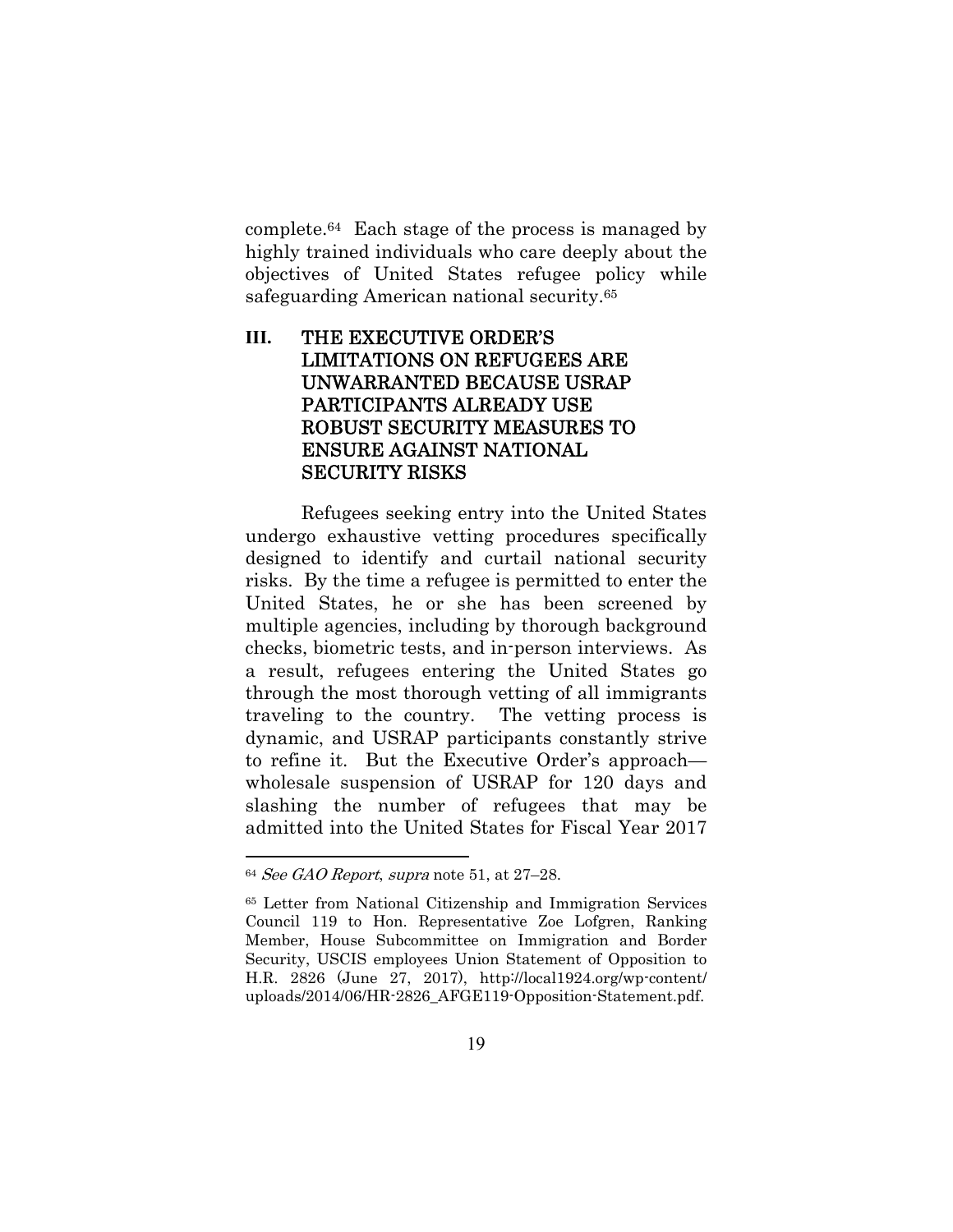complete.64 Each stage of the process is managed by highly trained individuals who care deeply about the objectives of United States refugee policy while safeguarding American national security.65

## **III.** THE EXECUTIVE ORDER'S LIMITATIONS ON REFUGEES ARE UNWARRANTED BECAUSE USRAP PARTICIPANTS ALREADY USE ROBUST SECURITY MEASURES TO ENSURE AGAINST NATIONAL SECURITY RISKS

Refugees seeking entry into the United States undergo exhaustive vetting procedures specifically designed to identify and curtail national security risks. By the time a refugee is permitted to enter the United States, he or she has been screened by multiple agencies, including by thorough background checks, biometric tests, and in-person interviews. As a result, refugees entering the United States go through the most thorough vetting of all immigrants traveling to the country. The vetting process is dynamic, and USRAP participants constantly strive to refine it. But the Executive Order's approach wholesale suspension of USRAP for 120 days and slashing the number of refugees that may be admitted into the United States for Fiscal Year 2017

 $64$  See GAO Report, supra note 51, at 27-28.

<sup>65</sup> Letter from National Citizenship and Immigration Services Council 119 to Hon. Representative Zoe Lofgren, Ranking Member, House Subcommittee on Immigration and Border Security, USCIS employees Union Statement of Opposition to H.R. 2826 (June 27, 2017), http://local1924.org/wp-content/ uploads/2014/06/HR-2826\_AFGE119-Opposition-Statement.pdf.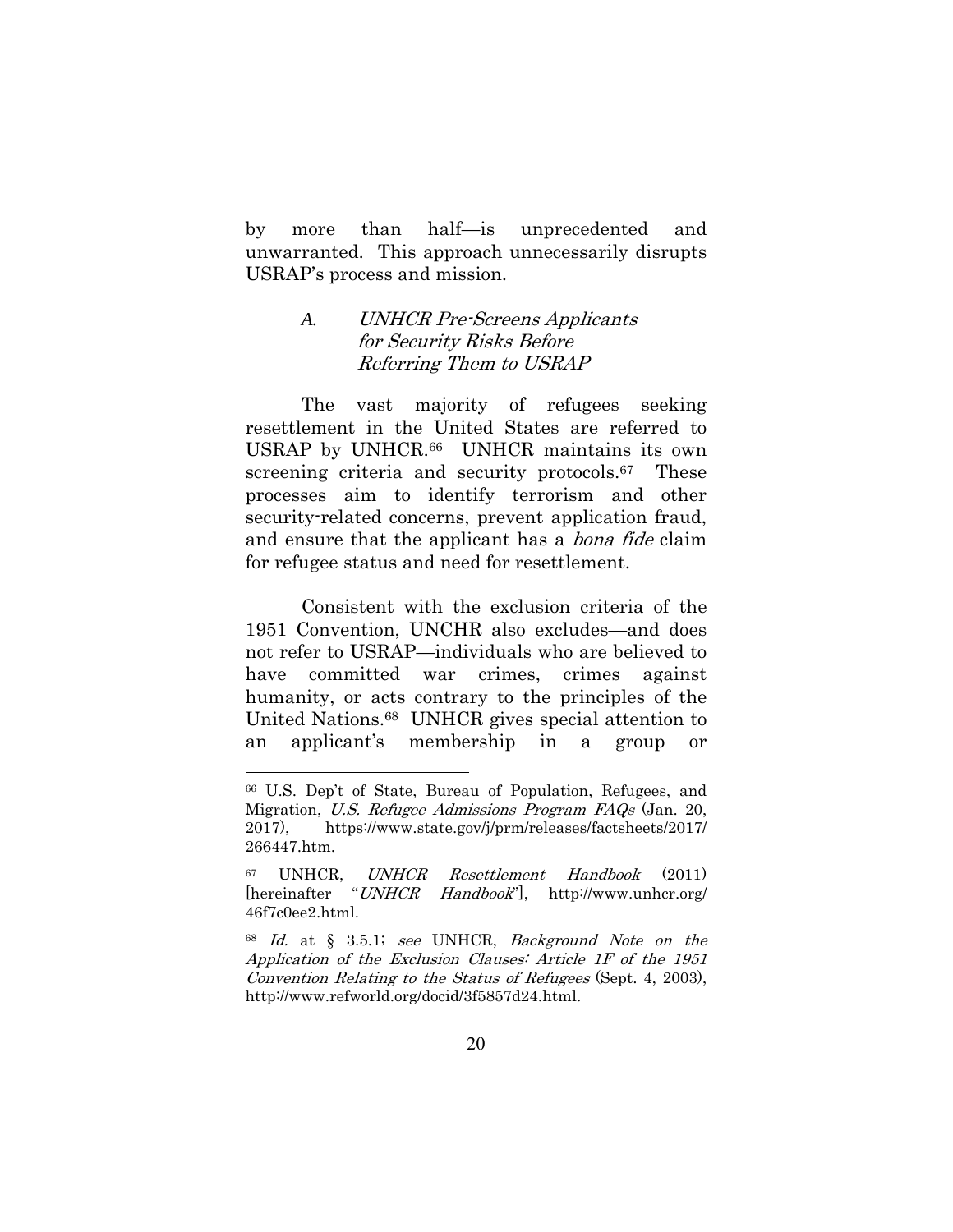by more than half—is unprecedented and unwarranted. This approach unnecessarily disrupts USRAP's process and mission.

### *A.* UNHCR Pre-Screens Applicants for Security Risks Before Referring Them to USRAP

The vast majority of refugees seeking resettlement in the United States are referred to USRAP by UNHCR.66 UNHCR maintains its own screening criteria and security protocols.<sup>67</sup> These processes aim to identify terrorism and other security-related concerns, prevent application fraud, and ensure that the applicant has a bona fide claim for refugee status and need for resettlement.

Consistent with the exclusion criteria of the 1951 Convention, UNCHR also excludes—and does not refer to USRAP—individuals who are believed to have committed war crimes, crimes against humanity, or acts contrary to the principles of the United Nations.68 UNHCR gives special attention to an applicant's membership in a group or

<sup>66</sup> U.S. Dep't of State, Bureau of Population, Refugees, and Migration, U.S. Refugee Admissions Program FAQs (Jan. 20, 2017), https://www.state.gov/j/prm/releases/factsheets/2017/ 266447.htm.

<sup>67</sup> UNHCR, UNHCR Resettlement Handbook (2011) [hereinafter "UNHCR Handbook"], http://www.unhcr.org/ 46f7c0ee2.html.

<sup>68</sup> Id. at § 3.5.1; see UNHCR, Background Note on the Application of the Exclusion Clauses: Article 1F of the 1951 Convention Relating to the Status of Refugees (Sept. 4, 2003), http://www.refworld.org/docid/3f5857d24.html.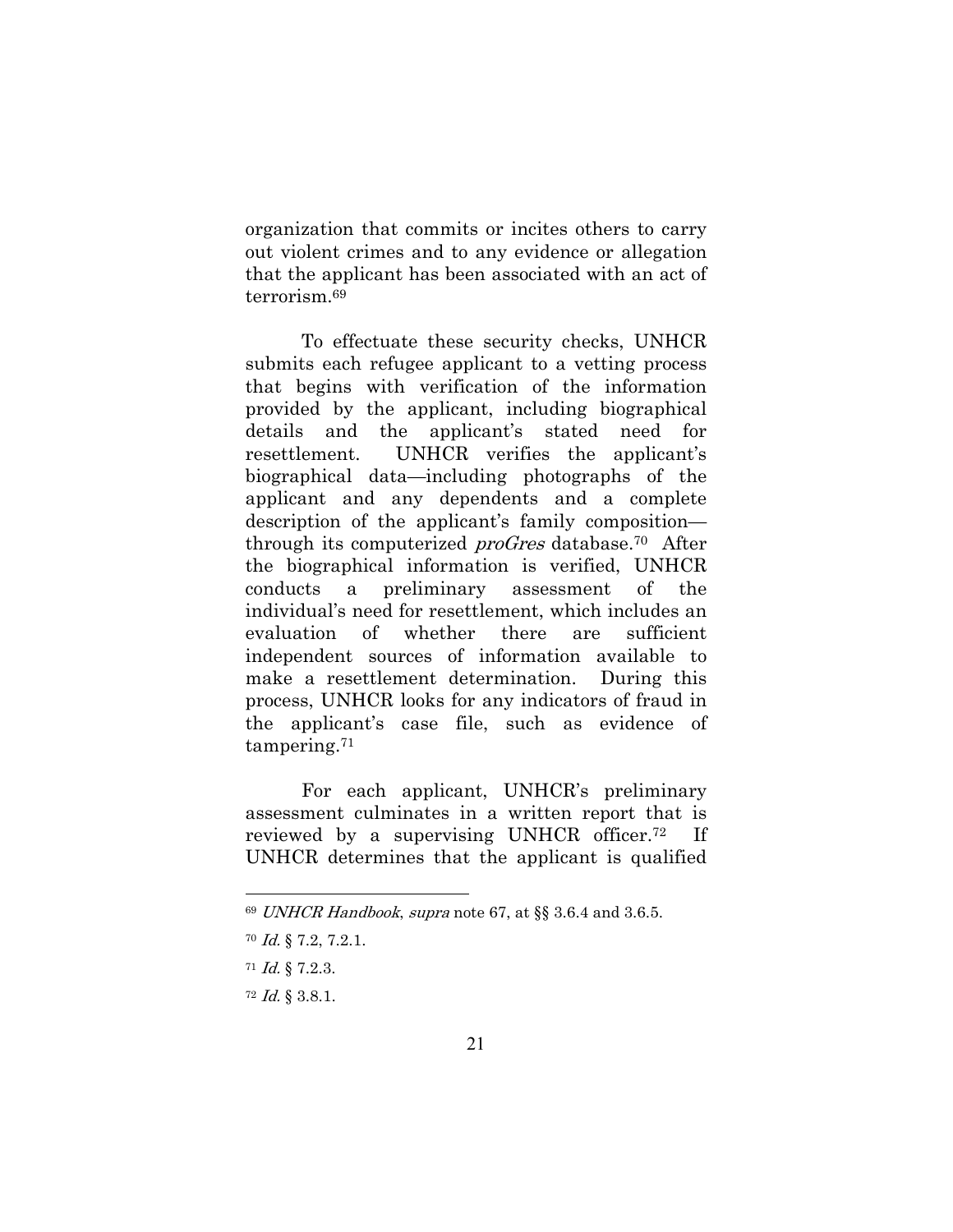organization that commits or incites others to carry out violent crimes and to any evidence or allegation that the applicant has been associated with an act of terrorism.69

To effectuate these security checks, UNHCR submits each refugee applicant to a vetting process that begins with verification of the information provided by the applicant, including biographical details and the applicant's stated need for resettlement. UNHCR verifies the applicant's biographical data—including photographs of the applicant and any dependents and a complete description of the applicant's family composition through its computerized *proGres* database.<sup>70</sup> After the biographical information is verified, UNHCR conducts a preliminary assessment of the individual's need for resettlement, which includes an evaluation of whether there are sufficient independent sources of information available to make a resettlement determination. During this process, UNHCR looks for any indicators of fraud in the applicant's case file, such as evidence of tampering.71

For each applicant, UNHCR's preliminary assessment culminates in a written report that is reviewed by a supervising UNHCR officer.72 If UNHCR determines that the applicant is qualified

<sup>71</sup> Id. § 7.2.3.

<sup>69</sup> UNHCR Handbook, supra note 67, at §§ 3.6.4 and 3.6.5.

<sup>70</sup> Id. § 7.2, 7.2.1.

<sup>72</sup> Id. § 3.8.1.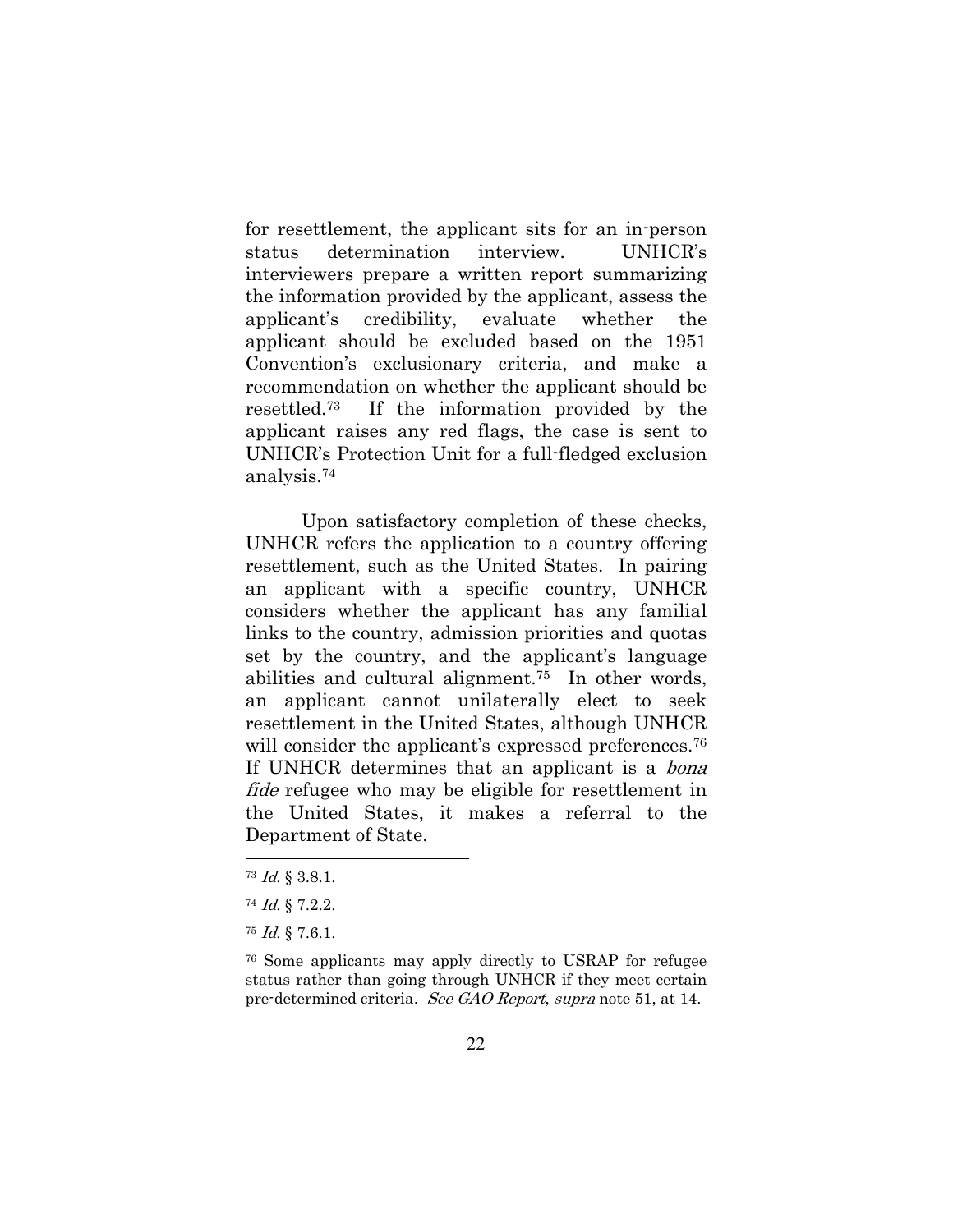for resettlement, the applicant sits for an in-person status determination interview. UNHCR's interviewers prepare a written report summarizing the information provided by the applicant, assess the applicant's credibility, evaluate whether the applicant should be excluded based on the 1951 Convention's exclusionary criteria, and make a recommendation on whether the applicant should be resettled.73 If the information provided by the applicant raises any red flags, the case is sent to UNHCR's Protection Unit for a full-fledged exclusion analysis.74

Upon satisfactory completion of these checks, UNHCR refers the application to a country offering resettlement, such as the United States. In pairing an applicant with a specific country, UNHCR considers whether the applicant has any familial links to the country, admission priorities and quotas set by the country, and the applicant's language abilities and cultural alignment.75 In other words, an applicant cannot unilaterally elect to seek resettlement in the United States, although UNHCR will consider the applicant's expressed preferences.<sup>76</sup> If UNHCR determines that an applicant is a *bona* fide refugee who may be eligible for resettlement in the United States, it makes a referral to the Department of State.

<sup>73</sup> Id. § 3.8.1.

<sup>74</sup> Id. § 7.2.2.

<sup>75</sup> Id. § 7.6.1.

<sup>76</sup> Some applicants may apply directly to USRAP for refugee status rather than going through UNHCR if they meet certain pre-determined criteria. See GAO Report, supra note 51, at 14.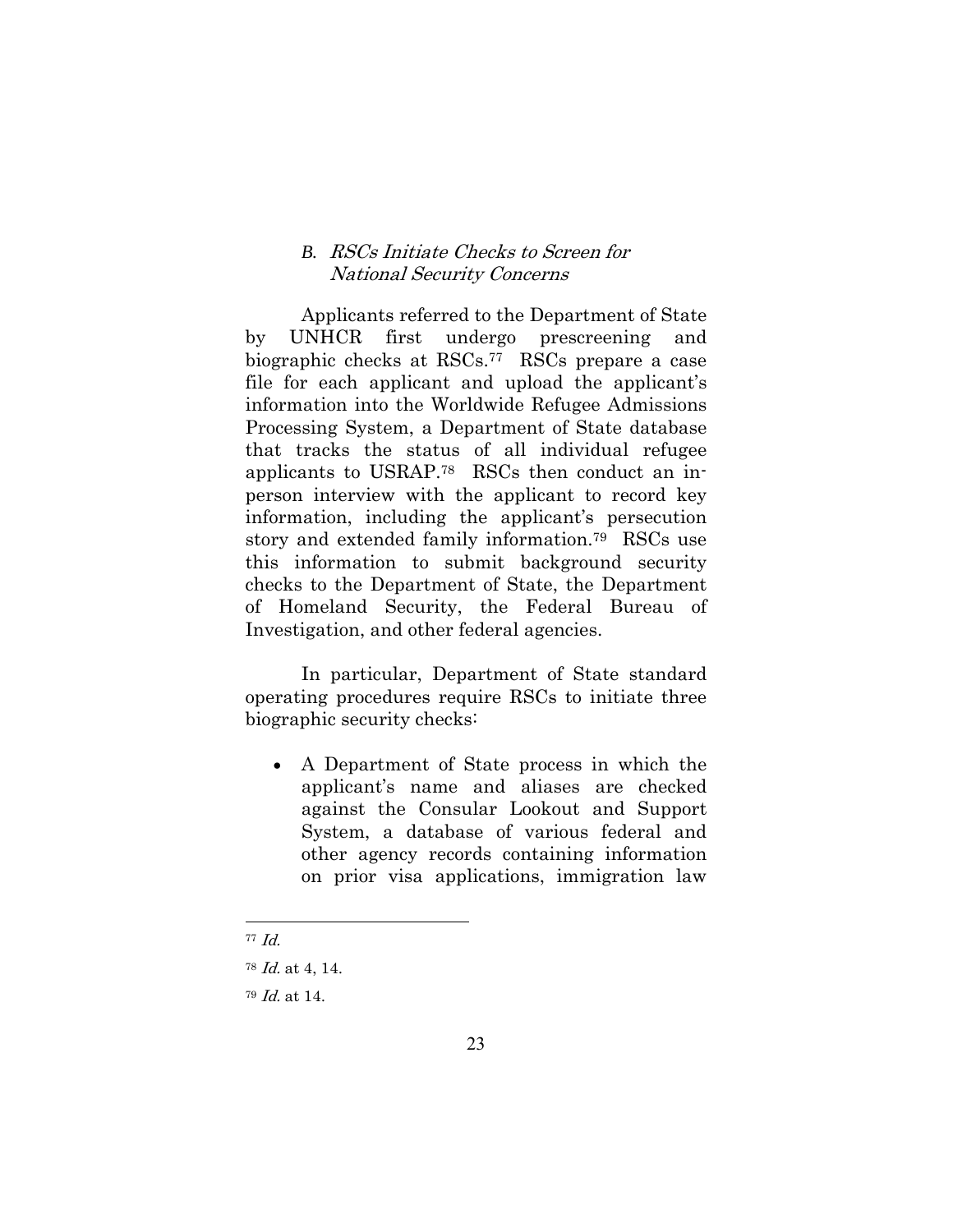### *B.* RSCs Initiate Checks to Screen for National Security Concerns

Applicants referred to the Department of State by UNHCR first undergo prescreening and biographic checks at RSCs.77 RSCs prepare a case file for each applicant and upload the applicant's information into the Worldwide Refugee Admissions Processing System, a Department of State database that tracks the status of all individual refugee applicants to USRAP.78 RSCs then conduct an inperson interview with the applicant to record key information, including the applicant's persecution story and extended family information.79 RSCs use this information to submit background security checks to the Department of State, the Department of Homeland Security, the Federal Bureau of Investigation, and other federal agencies.

In particular, Department of State standard operating procedures require RSCs to initiate three biographic security checks:

 A Department of State process in which the applicant's name and aliases are checked against the Consular Lookout and Support System, a database of various federal and other agency records containing information on prior visa applications, immigration law

<sup>77</sup> Id.

 $78$  *Id.* at 4, 14.

<sup>79</sup> Id. at 14.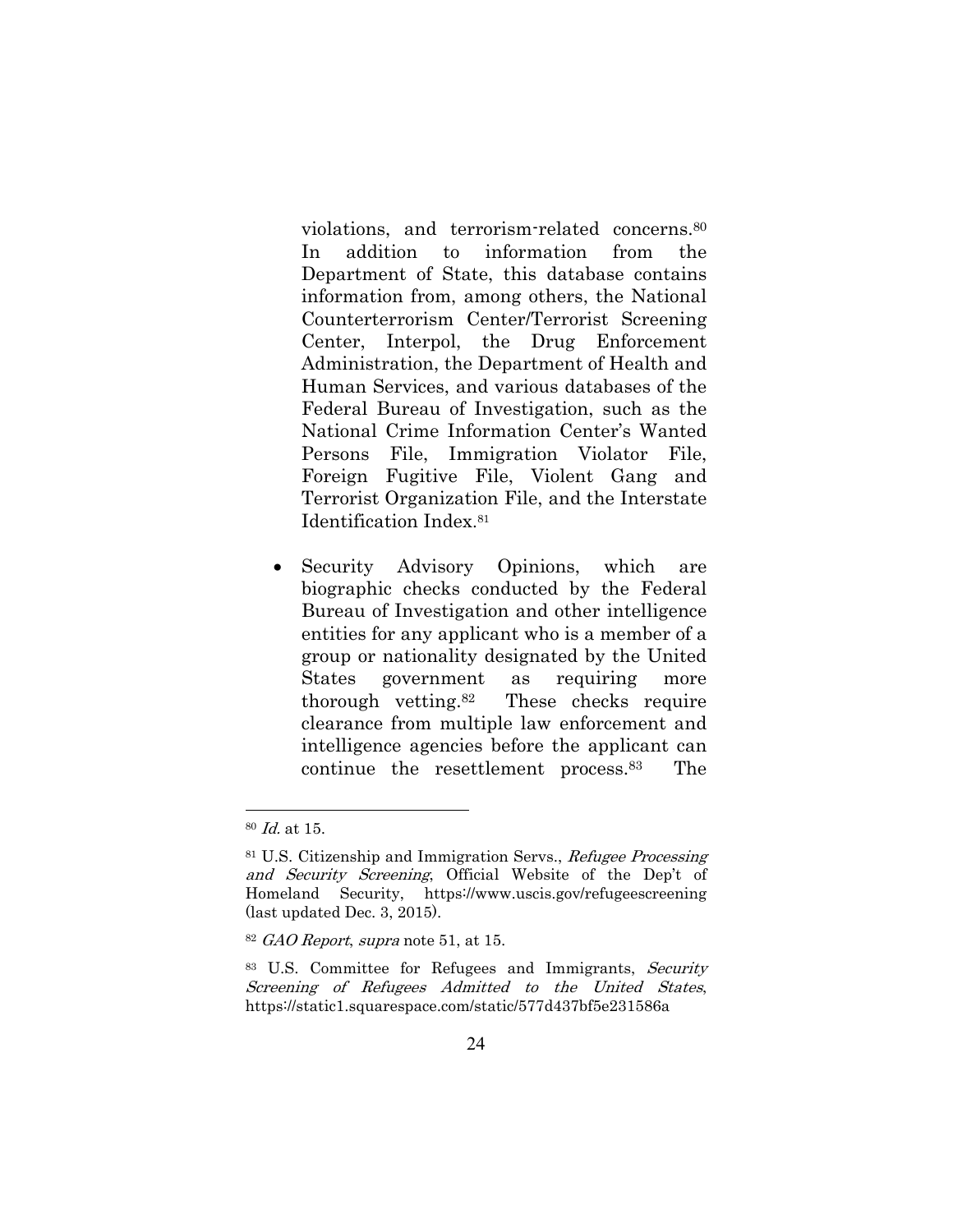violations, and terrorism-related concerns.80 In addition to information from the Department of State, this database contains information from, among others, the National Counterterrorism Center/Terrorist Screening Center, Interpol, the Drug Enforcement Administration, the Department of Health and Human Services, and various databases of the Federal Bureau of Investigation, such as the National Crime Information Center's Wanted Persons File, Immigration Violator File, Foreign Fugitive File, Violent Gang and Terrorist Organization File, and the Interstate Identification Index.81

• Security Advisory Opinions, which are biographic checks conducted by the Federal Bureau of Investigation and other intelligence entities for any applicant who is a member of a group or nationality designated by the United States government as requiring more thorough vetting.82 These checks require clearance from multiple law enforcement and intelligence agencies before the applicant can continue the resettlement process.83 The

<sup>80</sup> Id. at 15.

<sup>81</sup> U.S. Citizenship and Immigration Servs., Refugee Processing and Security Screening, Official Website of the Dep't of Homeland Security, https://www.uscis.gov/refugeescreening (last updated Dec. 3, 2015).

<sup>82</sup> GAO Report, supra note 51, at 15.

<sup>83</sup> U.S. Committee for Refugees and Immigrants, Security Screening of Refugees Admitted to the United States, https://static1.squarespace.com/static/577d437bf5e231586a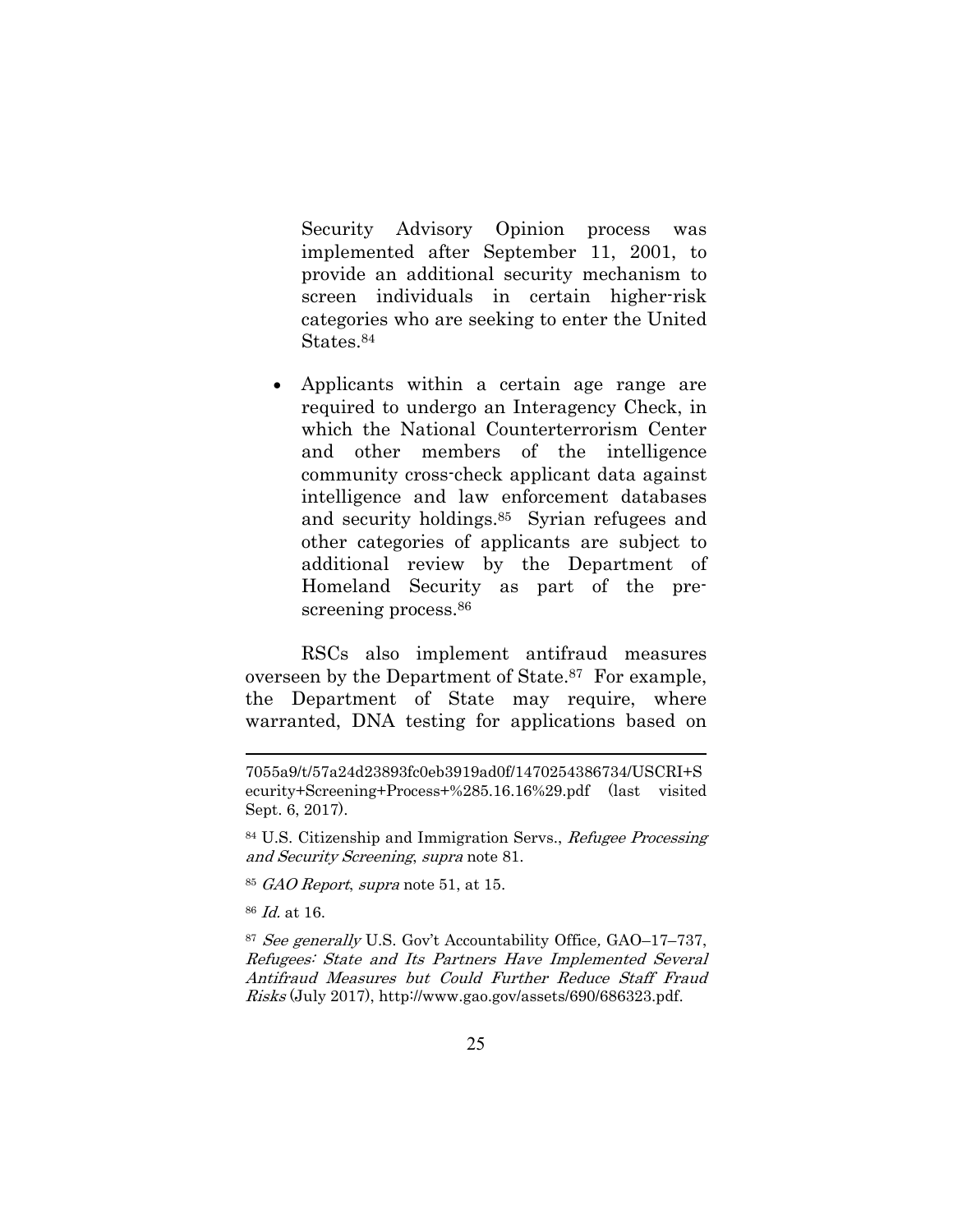Security Advisory Opinion process was implemented after September 11, 2001, to provide an additional security mechanism to screen individuals in certain higher-risk categories who are seeking to enter the United States.84

 Applicants within a certain age range are required to undergo an Interagency Check, in which the National Counterterrorism Center and other members of the intelligence community cross-check applicant data against intelligence and law enforcement databases and security holdings.85 Syrian refugees and other categories of applicants are subject to additional review by the Department of Homeland Security as part of the prescreening process.<sup>86</sup>

RSCs also implement antifraud measures overseen by the Department of State.87 For example, the Department of State may require, where warranted, DNA testing for applications based on

<sup>7055</sup>a9/t/57a24d23893fc0eb3919ad0f/1470254386734/USCRI+S ecurity+Screening+Process+%285.16.16%29.pdf (last visited Sept. 6, 2017).

<sup>84</sup> U.S. Citizenship and Immigration Servs., Refugee Processing and Security Screening, supra note 81.

<sup>85</sup> GAO Report, supra note 51, at 15.

<sup>86</sup> Id. at 16.

<sup>87</sup> See generally U.S. Gov't Accountability Office, GAO–17–737, Refugees: State and Its Partners Have Implemented Several Antifraud Measures but Could Further Reduce Staff Fraud Risks (July 2017), http://www.gao.gov/assets/690/686323.pdf.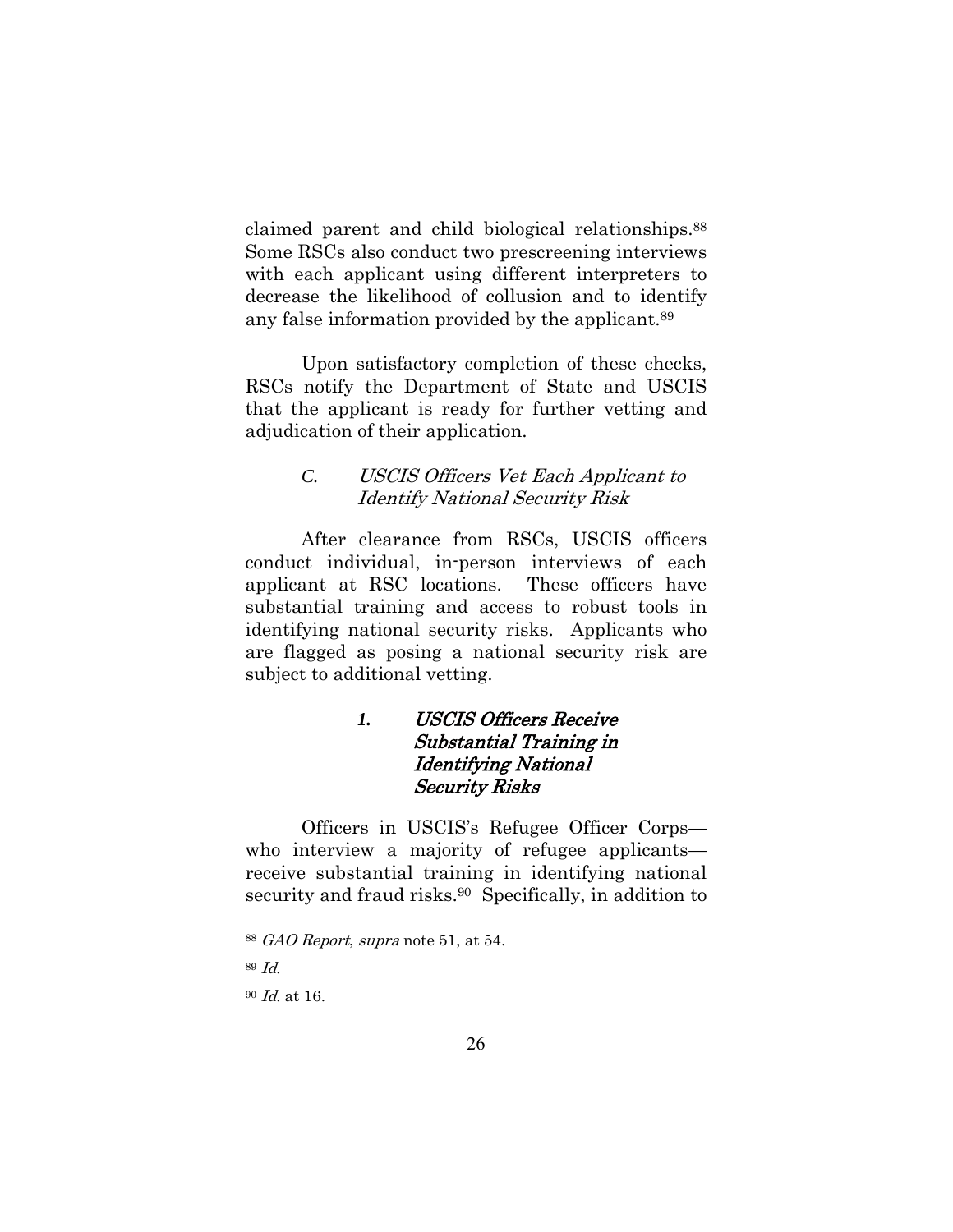claimed parent and child biological relationships.88 Some RSCs also conduct two prescreening interviews with each applicant using different interpreters to decrease the likelihood of collusion and to identify any false information provided by the applicant.89

Upon satisfactory completion of these checks, RSCs notify the Department of State and USCIS that the applicant is ready for further vetting and adjudication of their application.

### *C.* USCIS Officers Vet Each Applicant to Identify National Security Risk

After clearance from RSCs, USCIS officers conduct individual, in-person interviews of each applicant at RSC locations. These officers have substantial training and access to robust tools in identifying national security risks. Applicants who are flagged as posing a national security risk are subject to additional vetting.

## *1.* USCIS Officers Receive Substantial Training in Identifying National Security Risks

Officers in USCIS's Refugee Officer Corps who interview a majority of refugee applicants receive substantial training in identifying national security and fraud risks.<sup>90</sup> Specifically, in addition to

<sup>88</sup> GAO Report, supra note 51, at 54.

<sup>89</sup> Id.

<sup>90</sup> Id. at 16.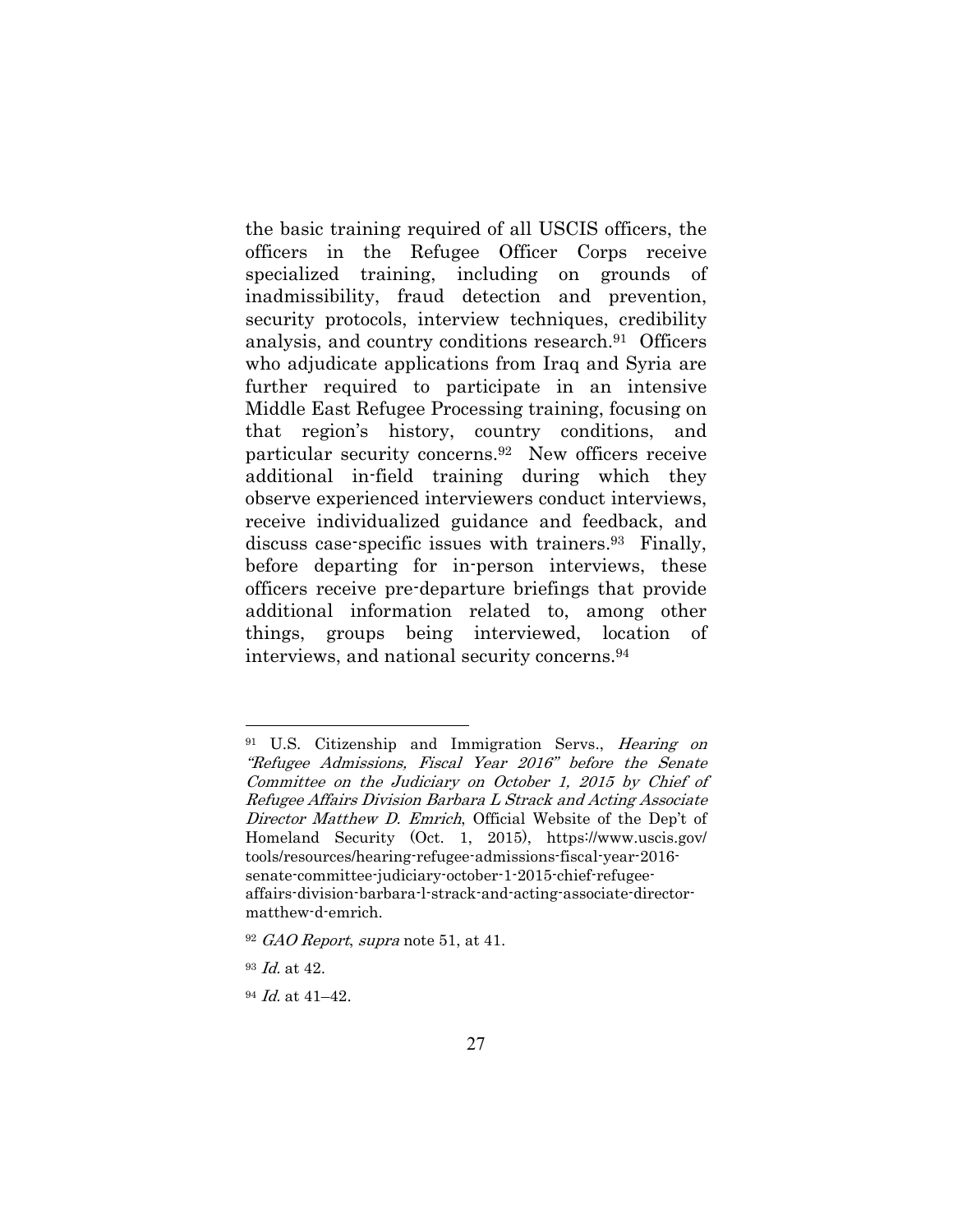the basic training required of all USCIS officers, the officers in the Refugee Officer Corps receive specialized training, including on grounds of inadmissibility, fraud detection and prevention, security protocols, interview techniques, credibility analysis, and country conditions research.91 Officers who adjudicate applications from Iraq and Syria are further required to participate in an intensive Middle East Refugee Processing training, focusing on that region's history, country conditions, and particular security concerns.92 New officers receive additional in-field training during which they observe experienced interviewers conduct interviews, receive individualized guidance and feedback, and discuss case-specific issues with trainers.93 Finally, before departing for in-person interviews, these officers receive pre-departure briefings that provide additional information related to, among other things, groups being interviewed, location of interviews, and national security concerns.94

<sup>&</sup>lt;sup>91</sup> U.S. Citizenship and Immigration Servs., *Hearing on* "Refugee Admissions, Fiscal Year 2016" before the Senate Committee on the Judiciary on October 1, 2015 by Chief of Refugee Affairs Division Barbara L Strack and Acting Associate Director Matthew D. Emrich, Official Website of the Dep't of Homeland Security (Oct. 1, 2015), https://www.uscis.gov/ tools/resources/hearing-refugee-admissions-fiscal-year-2016 senate-committee-judiciary-october-1-2015-chief-refugeeaffairs-division-barbara-l-strack-and-acting-associate-directormatthew-d-emrich.

 $92$  GAO Report, supra note 51, at 41.

<sup>93</sup> Id. at 42.

 $94$  *Id.* at  $41-42$ .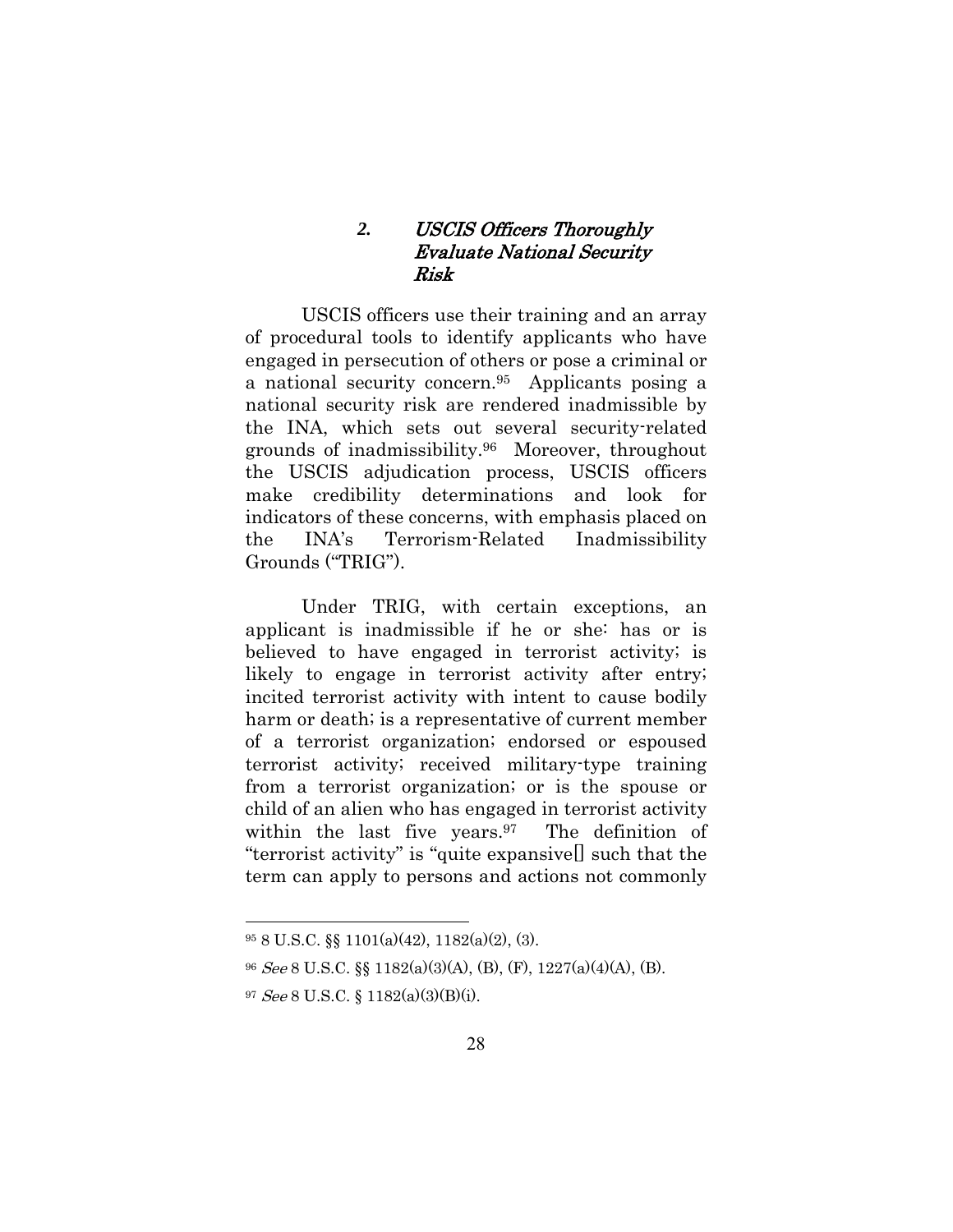### *2.* USCIS Officers Thoroughly Evaluate National Security Risk

USCIS officers use their training and an array of procedural tools to identify applicants who have engaged in persecution of others or pose a criminal or a national security concern.95 Applicants posing a national security risk are rendered inadmissible by the INA, which sets out several security-related grounds of inadmissibility.96 Moreover, throughout the USCIS adjudication process, USCIS officers make credibility determinations and look for indicators of these concerns, with emphasis placed on the INA's Terrorism-Related Inadmissibility Grounds ("TRIG").

Under TRIG, with certain exceptions, an applicant is inadmissible if he or she: has or is believed to have engaged in terrorist activity; is likely to engage in terrorist activity after entry; incited terrorist activity with intent to cause bodily harm or death; is a representative of current member of a terrorist organization; endorsed or espoused terrorist activity; received military-type training from a terrorist organization; or is the spouse or child of an alien who has engaged in terrorist activity within the last five years.<sup>97</sup> The definition of "terrorist activity" is "quite expansive[] such that the term can apply to persons and actions not commonly

<sup>95 8</sup> U.S.C. §§ 1101(a)(42), 1182(a)(2), (3).

<sup>96</sup> See 8 U.S.C. §§ 1182(a)(3)(A), (B), (F), 1227(a)(4)(A), (B).

<sup>97</sup> See 8 U.S.C. § 1182(a)(3)(B)(i).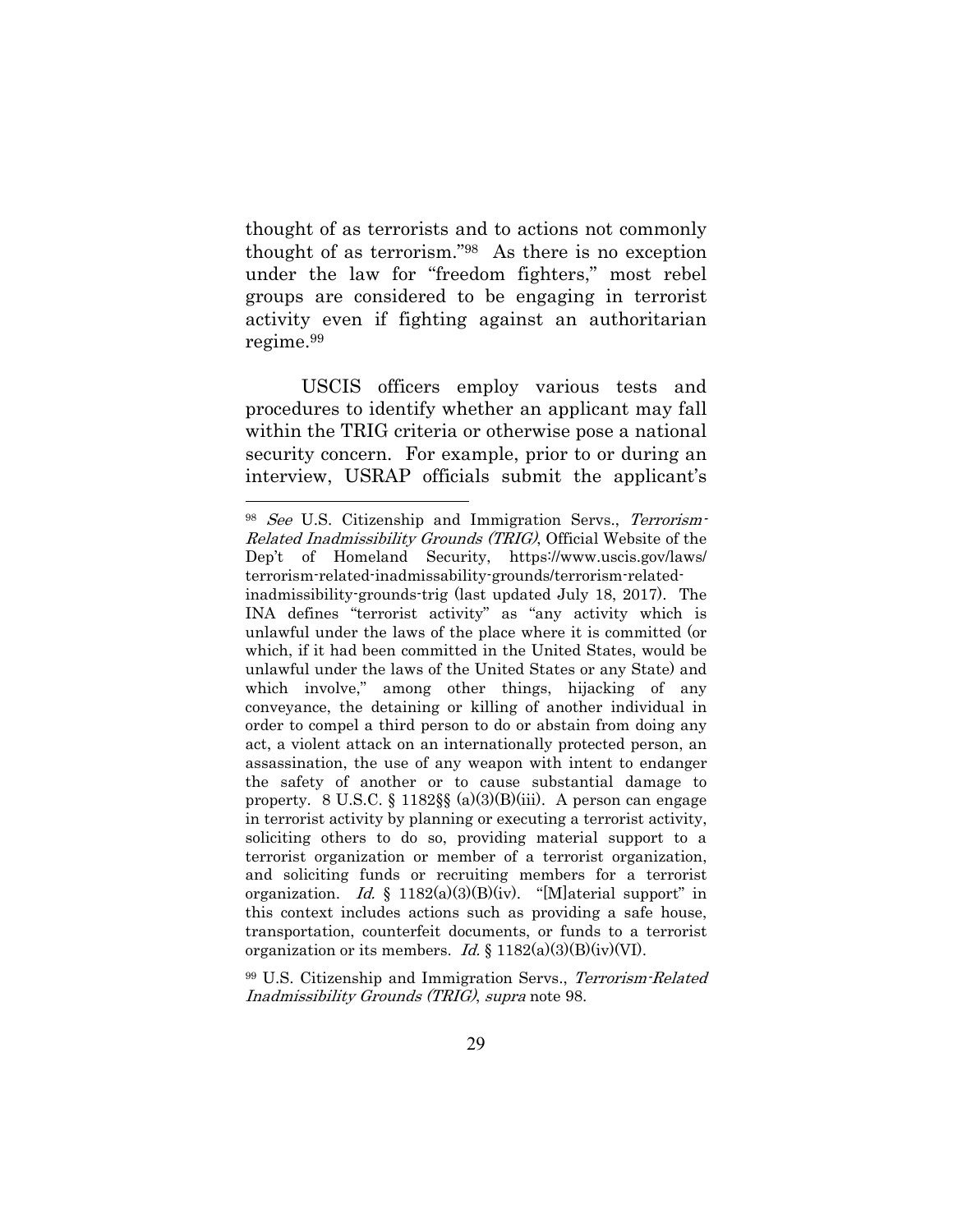thought of as terrorists and to actions not commonly thought of as terrorism."98 As there is no exception under the law for "freedom fighters," most rebel groups are considered to be engaging in terrorist activity even if fighting against an authoritarian regime.99

USCIS officers employ various tests and procedures to identify whether an applicant may fall within the TRIG criteria or otherwise pose a national security concern. For example, prior to or during an interview, USRAP officials submit the applicant's

 $\overline{a}$ 

99 U.S. Citizenship and Immigration Servs., Terrorism-Related Inadmissibility Grounds (TRIG), supra note 98.

<sup>&</sup>lt;sup>98</sup> See U.S. Citizenship and Immigration Servs., Terrorism-Related Inadmissibility Grounds (TRIG), Official Website of the Dep't of Homeland Security, https://www.uscis.gov/laws/ terrorism-related-inadmissability-grounds/terrorism-related-

inadmissibility-grounds-trig (last updated July 18, 2017). The INA defines "terrorist activity" as "any activity which is unlawful under the laws of the place where it is committed (or which, if it had been committed in the United States, would be unlawful under the laws of the United States or any State) and which involve," among other things, hijacking of any conveyance, the detaining or killing of another individual in order to compel a third person to do or abstain from doing any act, a violent attack on an internationally protected person, an assassination, the use of any weapon with intent to endanger the safety of another or to cause substantial damage to property. 8 U.S.C.  $\S$  1182 $\S$  $\S$  (a)(3)(B)(iii). A person can engage in terrorist activity by planning or executing a terrorist activity, soliciting others to do so, providing material support to a terrorist organization or member of a terrorist organization, and soliciting funds or recruiting members for a terrorist organization. Id. § 1182(a)(3)(B)(iv). "[M]aterial support" in this context includes actions such as providing a safe house, transportation, counterfeit documents, or funds to a terrorist organization or its members. *Id.* § 1182(a)(3)(B)(iv)(VI).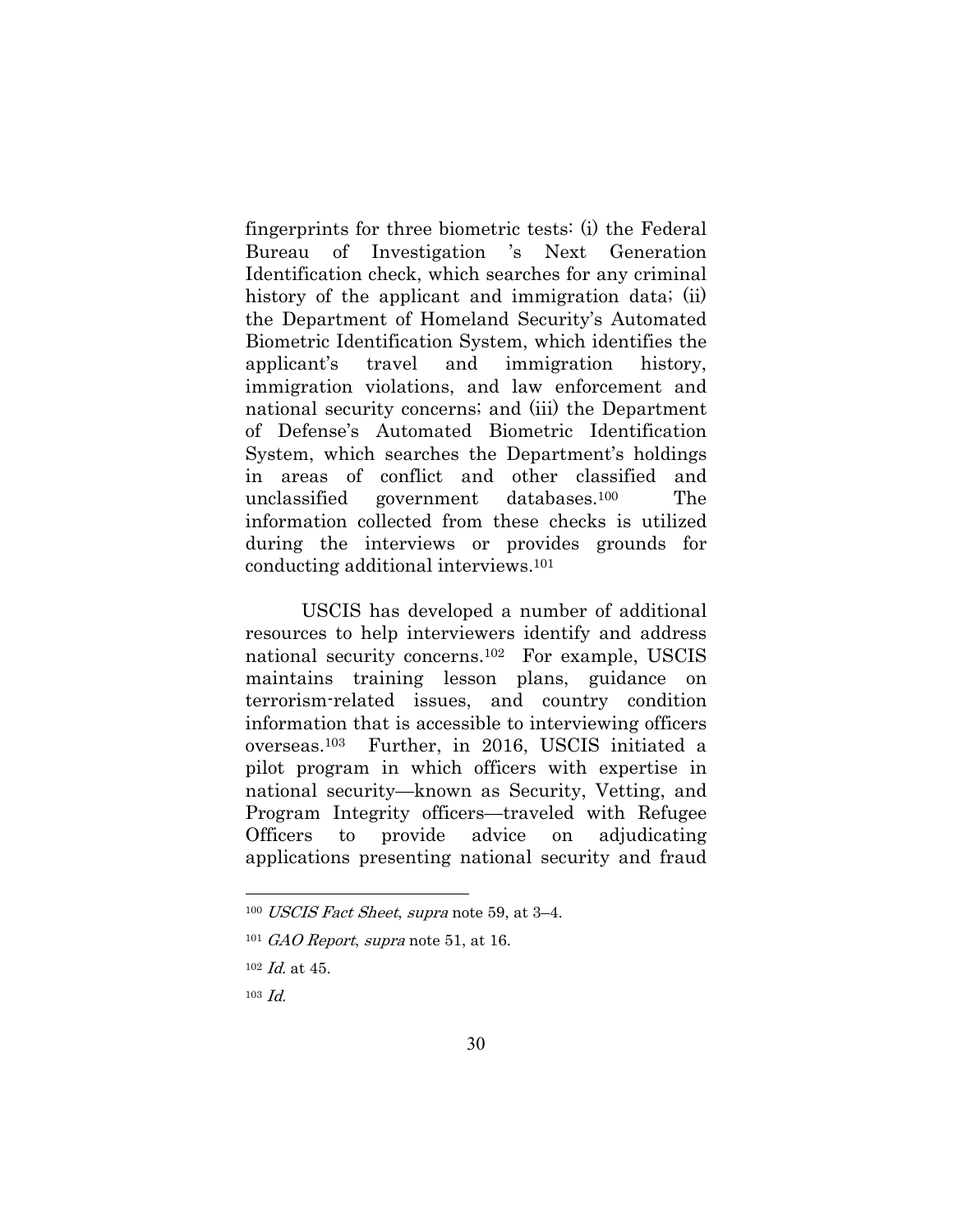fingerprints for three biometric tests: (i) the Federal Bureau of Investigation 's Next Generation Identification check, which searches for any criminal history of the applicant and immigration data; (ii) the Department of Homeland Security's Automated Biometric Identification System, which identifies the applicant's travel and immigration history, immigration violations, and law enforcement and national security concerns; and (iii) the Department of Defense's Automated Biometric Identification System, which searches the Department's holdings in areas of conflict and other classified and unclassified government databases.100 The information collected from these checks is utilized during the interviews or provides grounds for conducting additional interviews.101

USCIS has developed a number of additional resources to help interviewers identify and address national security concerns.102 For example, USCIS maintains training lesson plans, guidance on terrorism-related issues, and country condition information that is accessible to interviewing officers overseas.103 Further, in 2016, USCIS initiated a pilot program in which officers with expertise in national security—known as Security, Vetting, and Program Integrity officers—traveled with Refugee Officers to provide advice on adjudicating applications presenting national security and fraud

<sup>100</sup> USCIS Fact Sheet, supra note 59, at 3–4.

 $101$  GAO Report, supra note 51, at 16.

 $102$  *Id.* at 45.

 $103$  *Id.*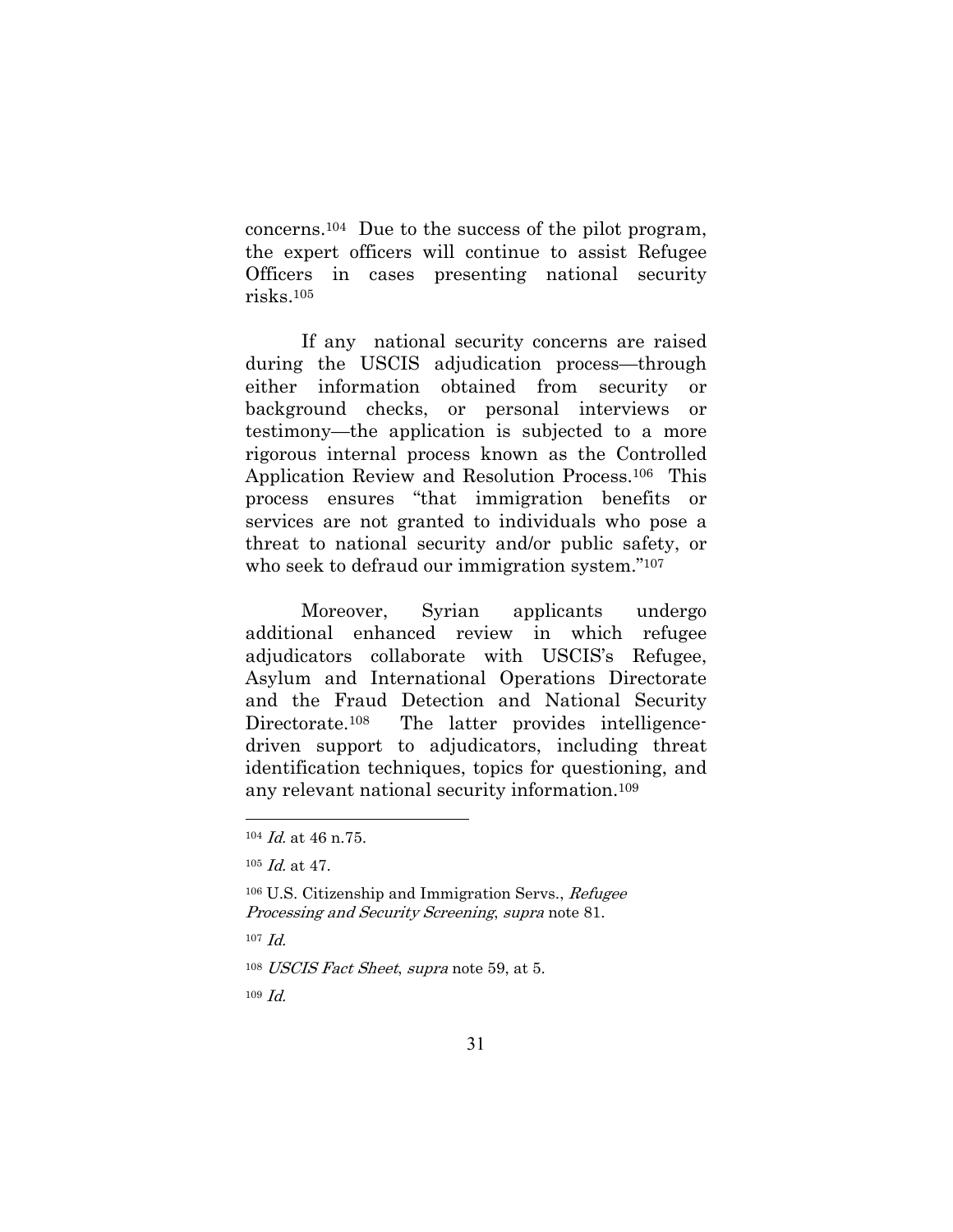concerns.104 Due to the success of the pilot program, the expert officers will continue to assist Refugee Officers in cases presenting national security risks.105

If any national security concerns are raised during the USCIS adjudication process—through either information obtained from security or background checks, or personal interviews or testimony—the application is subjected to a more rigorous internal process known as the Controlled Application Review and Resolution Process.106 This process ensures "that immigration benefits or services are not granted to individuals who pose a threat to national security and/or public safety, or who seek to defraud our immigration system."107

Moreover, Syrian applicants undergo additional enhanced review in which refugee adjudicators collaborate with USCIS's Refugee, Asylum and International Operations Directorate and the Fraud Detection and National Security Directorate.<sup>108</sup> The latter provides intelligencedriven support to adjudicators, including threat identification techniques, topics for questioning, and any relevant national security information.109

 $107$  *Id.* 

 $\overline{a}$ 

<sup>108</sup> USCIS Fact Sheet, supra note 59, at 5.

 $109 \, \text{Id}$ .

<sup>104</sup> Id. at 46 n.75.

<sup>105</sup> Id. at 47.

<sup>106</sup> U.S. Citizenship and Immigration Servs., Refugee Processing and Security Screening, supra note 81.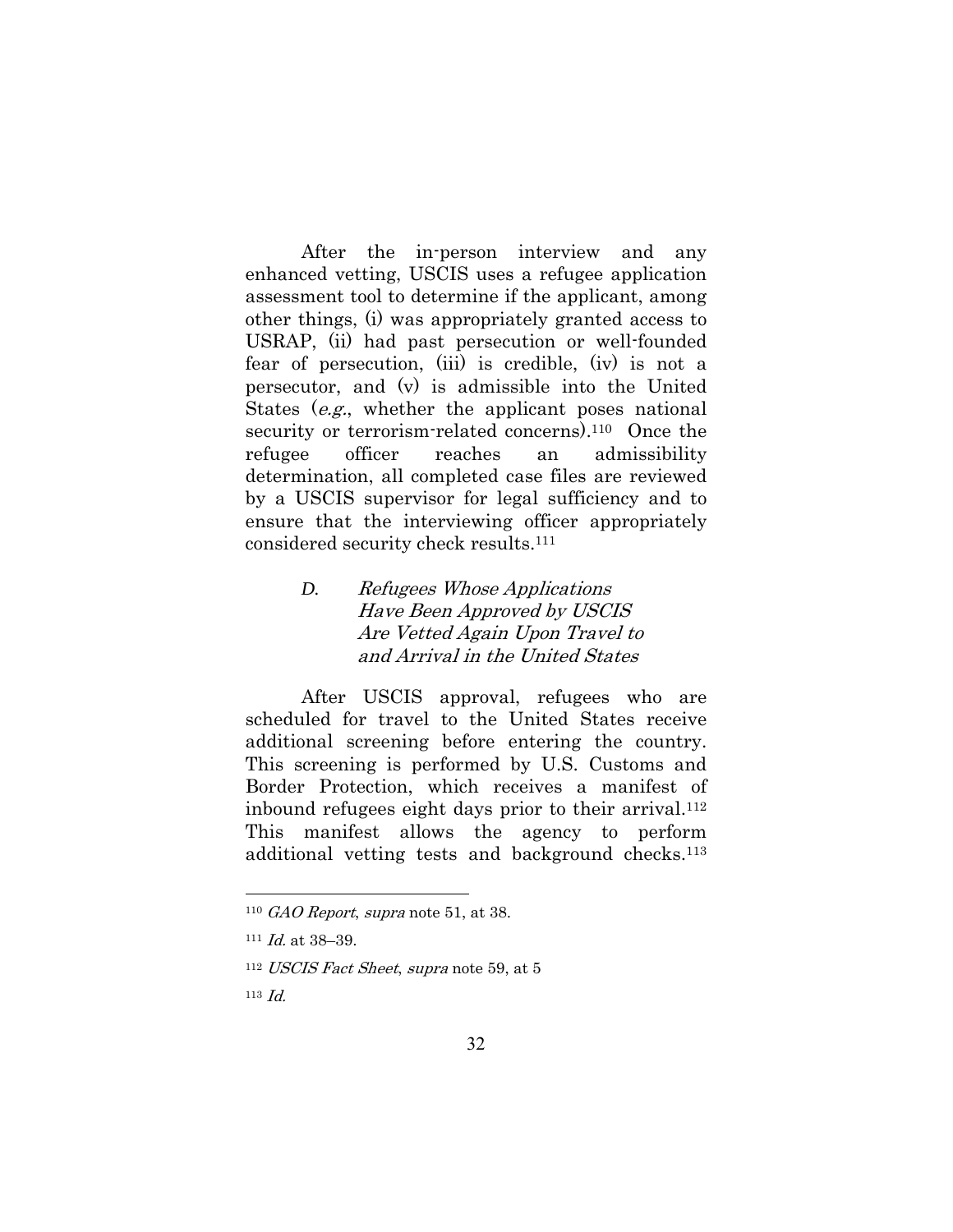After the in-person interview and any enhanced vetting, USCIS uses a refugee application assessment tool to determine if the applicant, among other things, (i) was appropriately granted access to USRAP, (ii) had past persecution or well-founded fear of persecution, (iii) is credible, (iv) is not a persecutor, and (v) is admissible into the United States (e.g., whether the applicant poses national security or terrorism-related concerns).<sup>110</sup> Once the refugee officer reaches an admissibility determination, all completed case files are reviewed by a USCIS supervisor for legal sufficiency and to ensure that the interviewing officer appropriately considered security check results.111

### *D.* Refugees Whose Applications Have Been Approved by USCIS Are Vetted Again Upon Travel to and Arrival in the United States

After USCIS approval, refugees who are scheduled for travel to the United States receive additional screening before entering the country. This screening is performed by U.S. Customs and Border Protection, which receives a manifest of inbound refugees eight days prior to their arrival.112 This manifest allows the agency to perform additional vetting tests and background checks.113

 $110$  GAO Report, supra note 51, at 38.

 $111$  *Id.* at 38-39.

<sup>112</sup> USCIS Fact Sheet, supra note 59, at 5

<sup>113</sup>  $Id$ .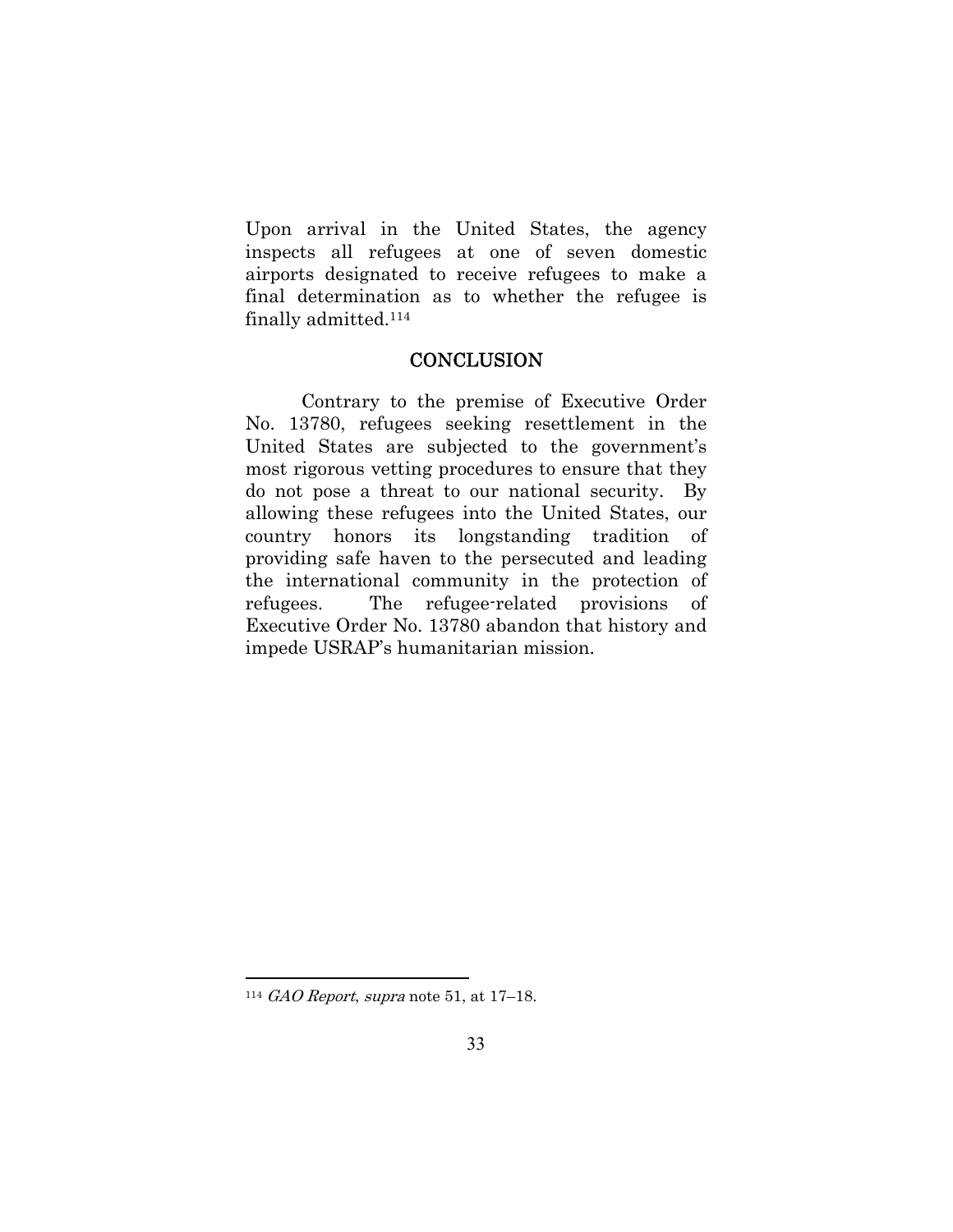Upon arrival in the United States, the agency inspects all refugees at one of seven domestic airports designated to receive refugees to make a final determination as to whether the refugee is finally admitted.114

#### **CONCLUSION**

Contrary to the premise of Executive Order No. 13780, refugees seeking resettlement in the United States are subjected to the government's most rigorous vetting procedures to ensure that they do not pose a threat to our national security. By allowing these refugees into the United States, our country honors its longstanding tradition of providing safe haven to the persecuted and leading the international community in the protection of refugees. The refugee-related provisions of Executive Order No. 13780 abandon that history and impede USRAP's humanitarian mission.

<sup>&</sup>lt;sup>114</sup> GAO Report, supra note 51, at  $17-18$ .